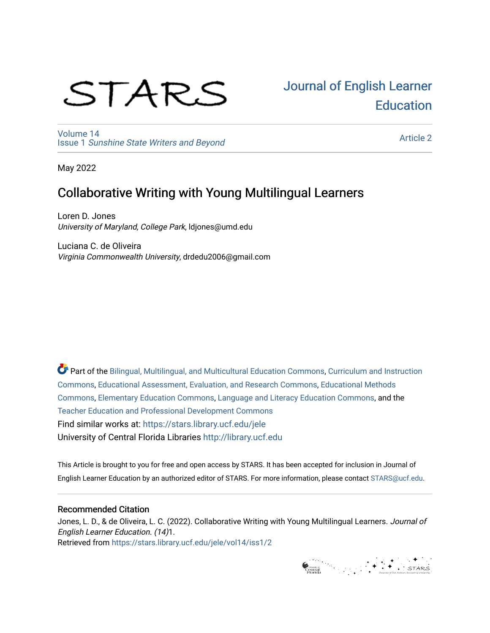# STARS

# [Journal of English Learner](https://stars.library.ucf.edu/jele)  **Education**

[Volume 14](https://stars.library.ucf.edu/jele/vol14) Issue 1 [Sunshine State Writers and Beyond](https://stars.library.ucf.edu/jele/vol14/iss1) 

[Article 2](https://stars.library.ucf.edu/jele/vol14/iss1/2) 

May 2022

# Collaborative Writing with Young Multilingual Learners

Loren D. Jones University of Maryland, College Park, ldjones@umd.edu

Luciana C. de Oliveira Virginia Commonwealth University, drdedu2006@gmail.com

Part of the [Bilingual, Multilingual, and Multicultural Education Commons,](http://network.bepress.com/hgg/discipline/785?utm_source=stars.library.ucf.edu%2Fjele%2Fvol14%2Fiss1%2F2&utm_medium=PDF&utm_campaign=PDFCoverPages) [Curriculum and Instruction](http://network.bepress.com/hgg/discipline/786?utm_source=stars.library.ucf.edu%2Fjele%2Fvol14%2Fiss1%2F2&utm_medium=PDF&utm_campaign=PDFCoverPages)  [Commons](http://network.bepress.com/hgg/discipline/786?utm_source=stars.library.ucf.edu%2Fjele%2Fvol14%2Fiss1%2F2&utm_medium=PDF&utm_campaign=PDFCoverPages), [Educational Assessment, Evaluation, and Research Commons,](http://network.bepress.com/hgg/discipline/796?utm_source=stars.library.ucf.edu%2Fjele%2Fvol14%2Fiss1%2F2&utm_medium=PDF&utm_campaign=PDFCoverPages) [Educational Methods](http://network.bepress.com/hgg/discipline/1227?utm_source=stars.library.ucf.edu%2Fjele%2Fvol14%2Fiss1%2F2&utm_medium=PDF&utm_campaign=PDFCoverPages)  [Commons](http://network.bepress.com/hgg/discipline/1227?utm_source=stars.library.ucf.edu%2Fjele%2Fvol14%2Fiss1%2F2&utm_medium=PDF&utm_campaign=PDFCoverPages), [Elementary Education Commons,](http://network.bepress.com/hgg/discipline/1378?utm_source=stars.library.ucf.edu%2Fjele%2Fvol14%2Fiss1%2F2&utm_medium=PDF&utm_campaign=PDFCoverPages) [Language and Literacy Education Commons](http://network.bepress.com/hgg/discipline/1380?utm_source=stars.library.ucf.edu%2Fjele%2Fvol14%2Fiss1%2F2&utm_medium=PDF&utm_campaign=PDFCoverPages), and the [Teacher Education and Professional Development Commons](http://network.bepress.com/hgg/discipline/803?utm_source=stars.library.ucf.edu%2Fjele%2Fvol14%2Fiss1%2F2&utm_medium=PDF&utm_campaign=PDFCoverPages) Find similar works at: <https://stars.library.ucf.edu/jele> University of Central Florida Libraries [http://library.ucf.edu](http://library.ucf.edu/) 

This Article is brought to you for free and open access by STARS. It has been accepted for inclusion in Journal of English Learner Education by an authorized editor of STARS. For more information, please contact [STARS@ucf.edu.](mailto:STARS@ucf.edu)

#### Recommended Citation

Jones, L. D., & de Oliveira, L. C. (2022). Collaborative Writing with Young Multilingual Learners. Journal of English Learner Education. (14)1. Retrieved from [https://stars.library.ucf.edu/jele/vol14/iss1/2](https://stars.library.ucf.edu/jele/vol14/iss1/2?utm_source=stars.library.ucf.edu%2Fjele%2Fvol14%2Fiss1%2F2&utm_medium=PDF&utm_campaign=PDFCoverPages) 

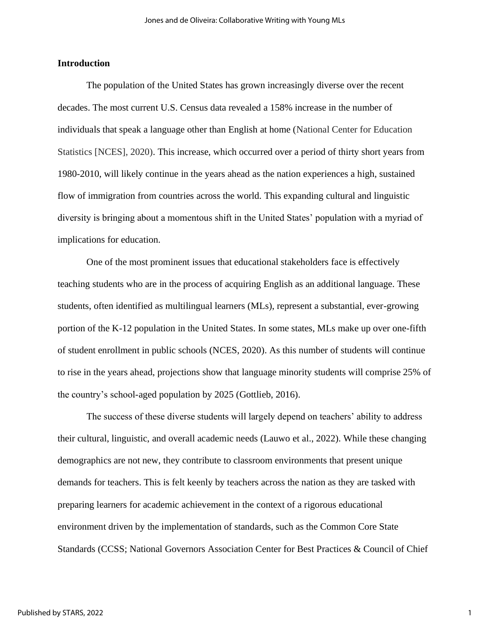#### **Introduction**

The population of the United States has grown increasingly diverse over the recent decades. The most current U.S. Census data revealed a 158% increase in the number of individuals that speak a language other than English at home (National Center for Education Statistics [NCES], 2020). This increase, which occurred over a period of thirty short years from 1980-2010, will likely continue in the years ahead as the nation experiences a high, sustained flow of immigration from countries across the world. This expanding cultural and linguistic diversity is bringing about a momentous shift in the United States' population with a myriad of implications for education.

One of the most prominent issues that educational stakeholders face is effectively teaching students who are in the process of acquiring English as an additional language. These students, often identified as multilingual learners (MLs), represent a substantial, ever-growing portion of the K-12 population in the United States. In some states, MLs make up over one-fifth of student enrollment in public schools (NCES, 2020). As this number of students will continue to rise in the years ahead, projections show that language minority students will comprise 25% of the country's school-aged population by 2025 (Gottlieb, 2016).

The success of these diverse students will largely depend on teachers' ability to address their cultural, linguistic, and overall academic needs (Lauwo et al., 2022). While these changing demographics are not new, they contribute to classroom environments that present unique demands for teachers. This is felt keenly by teachers across the nation as they are tasked with preparing learners for academic achievement in the context of a rigorous educational environment driven by the implementation of standards, such as the Common Core State Standards (CCSS; National Governors Association Center for Best Practices & Council of Chief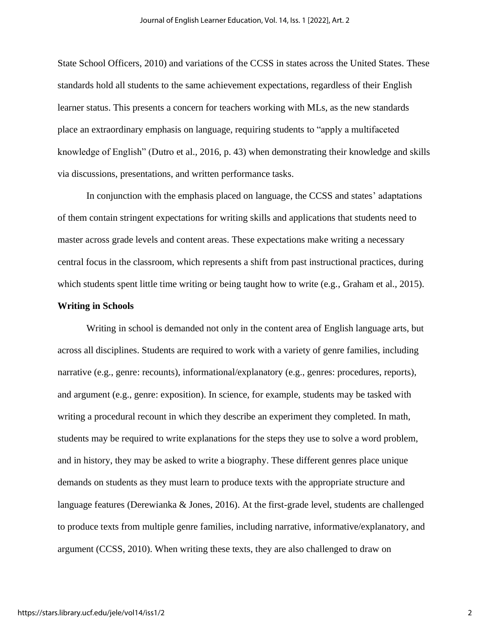State School Officers, 2010) and variations of the CCSS in states across the United States. These standards hold all students to the same achievement expectations, regardless of their English learner status. This presents a concern for teachers working with MLs, as the new standards place an extraordinary emphasis on language, requiring students to "apply a multifaceted knowledge of English" (Dutro et al., 2016, p. 43) when demonstrating their knowledge and skills via discussions, presentations, and written performance tasks.

In conjunction with the emphasis placed on language, the CCSS and states' adaptations of them contain stringent expectations for writing skills and applications that students need to master across grade levels and content areas. These expectations make writing a necessary central focus in the classroom, which represents a shift from past instructional practices, during which students spent little time writing or being taught how to write (e.g., Graham et al., 2015).

#### **Writing in Schools**

Writing in school is demanded not only in the content area of English language arts, but across all disciplines. Students are required to work with a variety of genre families, including narrative (e.g., genre: recounts), informational/explanatory (e.g., genres: procedures, reports), and argument (e.g., genre: exposition). In science, for example, students may be tasked with writing a procedural recount in which they describe an experiment they completed. In math, students may be required to write explanations for the steps they use to solve a word problem, and in history, they may be asked to write a biography. These different genres place unique demands on students as they must learn to produce texts with the appropriate structure and language features (Derewianka & Jones, 2016). At the first-grade level, students are challenged to produce texts from multiple genre families, including narrative, informative/explanatory, and argument (CCSS, 2010). When writing these texts, they are also challenged to draw on

2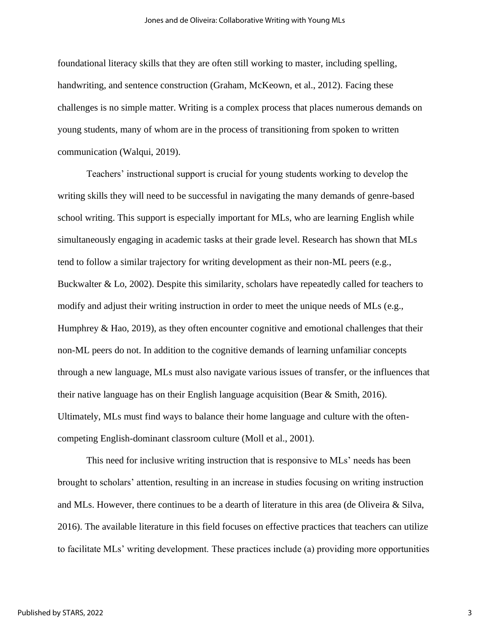foundational literacy skills that they are often still working to master, including spelling, handwriting, and sentence construction (Graham, McKeown, et al., 2012). Facing these challenges is no simple matter. Writing is a complex process that places numerous demands on young students, many of whom are in the process of transitioning from spoken to written communication (Walqui, 2019).

Teachers' instructional support is crucial for young students working to develop the writing skills they will need to be successful in navigating the many demands of genre-based school writing. This support is especially important for MLs, who are learning English while simultaneously engaging in academic tasks at their grade level. Research has shown that MLs tend to follow a similar trajectory for writing development as their non-ML peers (e.g., Buckwalter & Lo, 2002). Despite this similarity, scholars have repeatedly called for teachers to modify and adjust their writing instruction in order to meet the unique needs of MLs (e.g., Humphrey  $\&$  Hao, 2019), as they often encounter cognitive and emotional challenges that their non-ML peers do not. In addition to the cognitive demands of learning unfamiliar concepts through a new language, MLs must also navigate various issues of transfer, or the influences that their native language has on their English language acquisition (Bear  $&$  Smith, 2016). Ultimately, MLs must find ways to balance their home language and culture with the oftencompeting English-dominant classroom culture (Moll et al., 2001).

This need for inclusive writing instruction that is responsive to MLs' needs has been brought to scholars' attention, resulting in an increase in studies focusing on writing instruction and MLs. However, there continues to be a dearth of literature in this area (de Oliveira & Silva, 2016). The available literature in this field focuses on effective practices that teachers can utilize to facilitate MLs' writing development. These practices include (a) providing more opportunities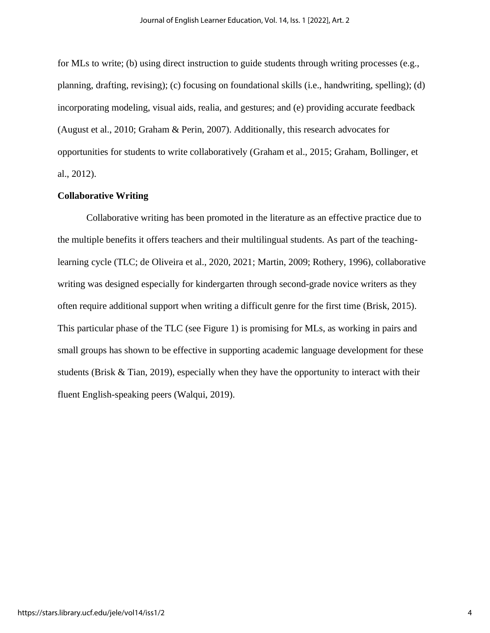for MLs to write; (b) using direct instruction to guide students through writing processes (e.g., planning, drafting, revising); (c) focusing on foundational skills (i.e., handwriting, spelling); (d) incorporating modeling, visual aids, realia, and gestures; and (e) providing accurate feedback (August et al., 2010; Graham & Perin, 2007). Additionally, this research advocates for opportunities for students to write collaboratively (Graham et al., 2015; Graham, Bollinger, et al., 2012).

#### **Collaborative Writing**

Collaborative writing has been promoted in the literature as an effective practice due to the multiple benefits it offers teachers and their multilingual students. As part of the teachinglearning cycle (TLC; de Oliveira et al., 2020, 2021; Martin, 2009; Rothery, 1996), collaborative writing was designed especially for kindergarten through second-grade novice writers as they often require additional support when writing a difficult genre for the first time (Brisk, 2015). This particular phase of the TLC (see Figure 1) is promising for MLs, as working in pairs and small groups has shown to be effective in supporting academic language development for these students (Brisk & Tian, 2019), especially when they have the opportunity to interact with their fluent English-speaking peers (Walqui, 2019).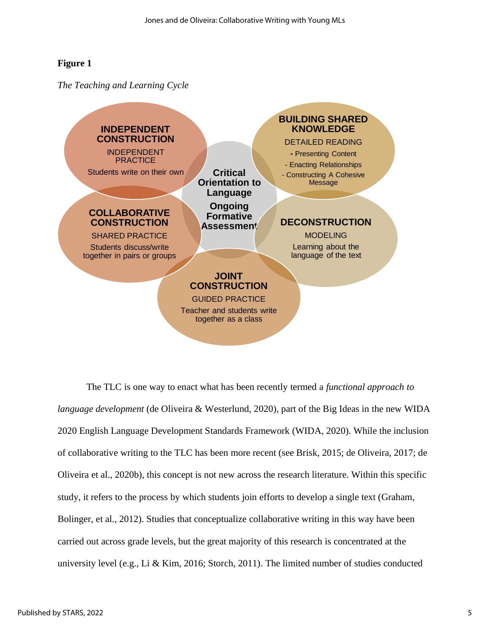## **Figure 1**

*The Teaching and Learning Cycle*



The TLC is one way to enact what has been recently termed a *functional approach to language development* (de Oliveira & Westerlund, 2020), part of the Big Ideas in the new WIDA 2020 English Language Development Standards Framework (WIDA, 2020). While the inclusion of collaborative writing to the TLC has been more recent (see Brisk, 2015; de Oliveira, 2017; de Oliveira et al., 2020b), this concept is not new across the research literature. Within this specific study, it refers to the process by which students join efforts to develop a single text (Graham, Bolinger, et al., 2012). Studies that conceptualize collaborative writing in this way have been carried out across grade levels, but the great majority of this research is concentrated at the university level (e.g., Li & Kim, 2016; Storch, 2011). The limited number of studies conducted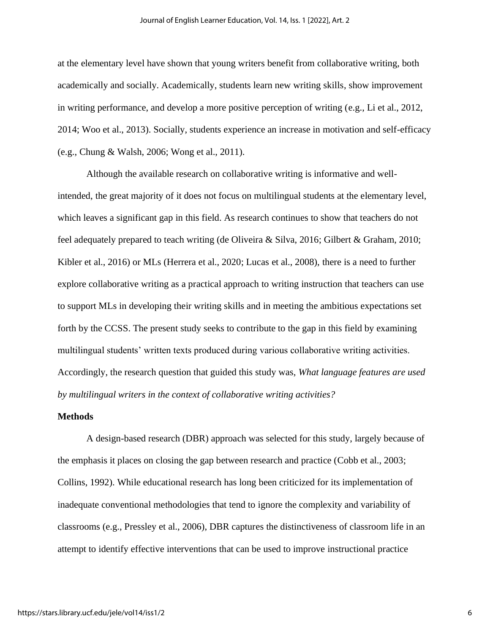at the elementary level have shown that young writers benefit from collaborative writing, both academically and socially. Academically, students learn new writing skills, show improvement in writing performance, and develop a more positive perception of writing (e.g., Li et al., 2012, 2014; Woo et al., 2013). Socially, students experience an increase in motivation and self-efficacy (e.g., Chung & Walsh, 2006; Wong et al., 2011).

Although the available research on collaborative writing is informative and wellintended, the great majority of it does not focus on multilingual students at the elementary level, which leaves a significant gap in this field. As research continues to show that teachers do not feel adequately prepared to teach writing (de Oliveira & Silva, 2016; Gilbert & Graham, 2010; Kibler et al., 2016) or MLs (Herrera et al., 2020; Lucas et al., 2008), there is a need to further explore collaborative writing as a practical approach to writing instruction that teachers can use to support MLs in developing their writing skills and in meeting the ambitious expectations set forth by the CCSS. The present study seeks to contribute to the gap in this field by examining multilingual students' written texts produced during various collaborative writing activities. Accordingly, the research question that guided this study was, *What language features are used by multilingual writers in the context of collaborative writing activities?*

#### **Methods**

A design-based research (DBR) approach was selected for this study, largely because of the emphasis it places on closing the gap between research and practice (Cobb et al., 2003; Collins, 1992). While educational research has long been criticized for its implementation of inadequate conventional methodologies that tend to ignore the complexity and variability of classrooms (e.g., Pressley et al., 2006), DBR captures the distinctiveness of classroom life in an attempt to identify effective interventions that can be used to improve instructional practice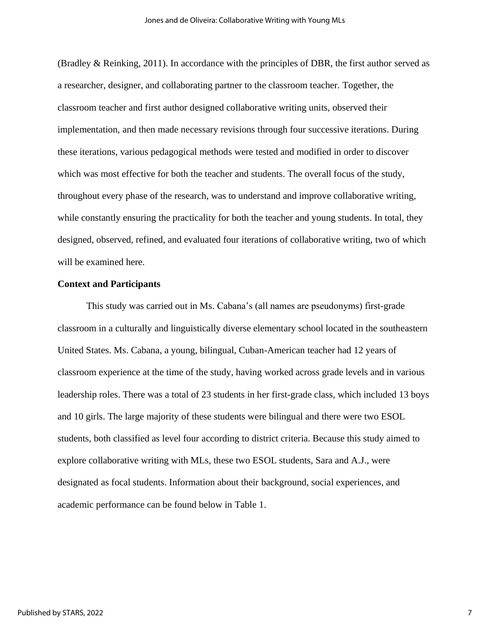(Bradley & Reinking, 2011). In accordance with the principles of DBR, the first author served as a researcher, designer, and collaborating partner to the classroom teacher. Together, the classroom teacher and first author designed collaborative writing units, observed their implementation, and then made necessary revisions through four successive iterations. During these iterations, various pedagogical methods were tested and modified in order to discover which was most effective for both the teacher and students. The overall focus of the study, throughout every phase of the research, was to understand and improve collaborative writing, while constantly ensuring the practicality for both the teacher and young students. In total, they designed, observed, refined, and evaluated four iterations of collaborative writing, two of which will be examined here.

#### **Context and Participants**

This study was carried out in Ms. Cabana's (all names are pseudonyms) first-grade classroom in a culturally and linguistically diverse elementary school located in the southeastern United States. Ms. Cabana, a young, bilingual, Cuban-American teacher had 12 years of classroom experience at the time of the study, having worked across grade levels and in various leadership roles. There was a total of 23 students in her first-grade class, which included 13 boys and 10 girls. The large majority of these students were bilingual and there were two ESOL students, both classified as level four according to district criteria. Because this study aimed to explore collaborative writing with MLs, these two ESOL students, Sara and A.J., were designated as focal students. Information about their background, social experiences, and academic performance can be found below in Table 1.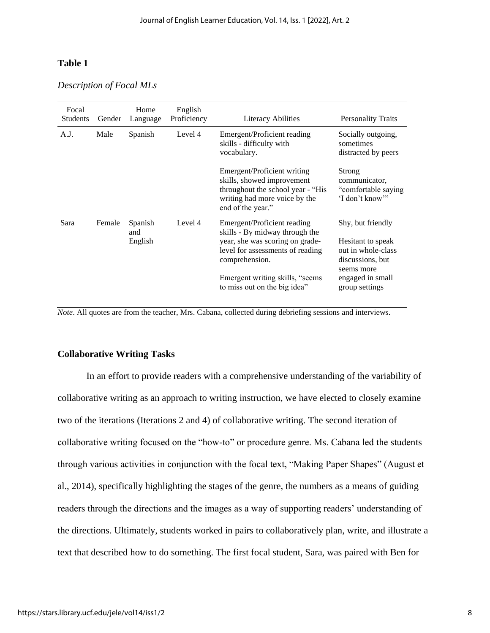### **Table 1**

*Description of Focal MLs*

| Focal<br><b>Students</b> | Gender | Home<br>Language          | English<br>Proficiency | <b>Literacy Abilities</b>                                                                                                                              | <b>Personality Traits</b>                                                                      |
|--------------------------|--------|---------------------------|------------------------|--------------------------------------------------------------------------------------------------------------------------------------------------------|------------------------------------------------------------------------------------------------|
| A.J.                     | Male   | Spanish                   | Level 4                | Emergent/Proficient reading<br>skills - difficulty with<br>vocabulary.                                                                                 | Socially outgoing,<br>sometimes<br>distracted by peers                                         |
|                          |        |                           |                        | Emergent/Proficient writing<br>skills, showed improvement<br>throughout the school year - "His<br>writing had more voice by the<br>end of the year."   | Strong<br>communicator,<br>"comfortable saying"<br>'I don't know'"                             |
| Sara                     | Female | Spanish<br>and<br>English | Level 4                | Emergent/Proficient reading<br>skills - By midway through the<br>year, she was scoring on grade-<br>level for assessments of reading<br>comprehension. | Shy, but friendly<br>Hesitant to speak<br>out in whole-class<br>discussions, but<br>seems more |
|                          |        |                           |                        | Emergent writing skills, "seems"<br>to miss out on the big idea"                                                                                       | engaged in small<br>group settings                                                             |

*Note*. All quotes are from the teacher, Mrs. Cabana, collected during debriefing sessions and interviews.

#### **Collaborative Writing Tasks**

In an effort to provide readers with a comprehensive understanding of the variability of collaborative writing as an approach to writing instruction, we have elected to closely examine two of the iterations (Iterations 2 and 4) of collaborative writing. The second iteration of collaborative writing focused on the "how-to" or procedure genre. Ms. Cabana led the students through various activities in conjunction with the focal text, "Making Paper Shapes" (August et al., 2014), specifically highlighting the stages of the genre, the numbers as a means of guiding readers through the directions and the images as a way of supporting readers' understanding of the directions. Ultimately, students worked in pairs to collaboratively plan, write, and illustrate a text that described how to do something. The first focal student, Sara, was paired with Ben for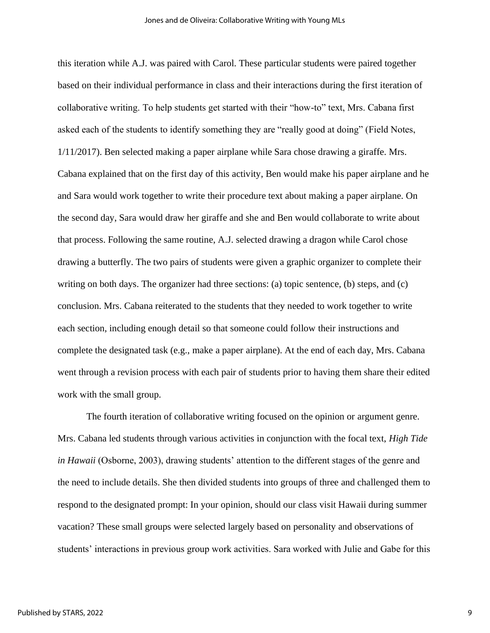this iteration while A.J. was paired with Carol. These particular students were paired together based on their individual performance in class and their interactions during the first iteration of collaborative writing. To help students get started with their "how-to" text, Mrs. Cabana first asked each of the students to identify something they are "really good at doing" (Field Notes, 1/11/2017). Ben selected making a paper airplane while Sara chose drawing a giraffe. Mrs. Cabana explained that on the first day of this activity, Ben would make his paper airplane and he and Sara would work together to write their procedure text about making a paper airplane. On the second day, Sara would draw her giraffe and she and Ben would collaborate to write about that process. Following the same routine, A.J. selected drawing a dragon while Carol chose drawing a butterfly. The two pairs of students were given a graphic organizer to complete their writing on both days. The organizer had three sections: (a) topic sentence, (b) steps, and (c) conclusion. Mrs. Cabana reiterated to the students that they needed to work together to write each section, including enough detail so that someone could follow their instructions and complete the designated task (e.g., make a paper airplane). At the end of each day, Mrs. Cabana went through a revision process with each pair of students prior to having them share their edited work with the small group.

The fourth iteration of collaborative writing focused on the opinion or argument genre. Mrs. Cabana led students through various activities in conjunction with the focal text, *High Tide in Hawaii* (Osborne, 2003), drawing students' attention to the different stages of the genre and the need to include details. She then divided students into groups of three and challenged them to respond to the designated prompt: In your opinion, should our class visit Hawaii during summer vacation? These small groups were selected largely based on personality and observations of students' interactions in previous group work activities. Sara worked with Julie and Gabe for this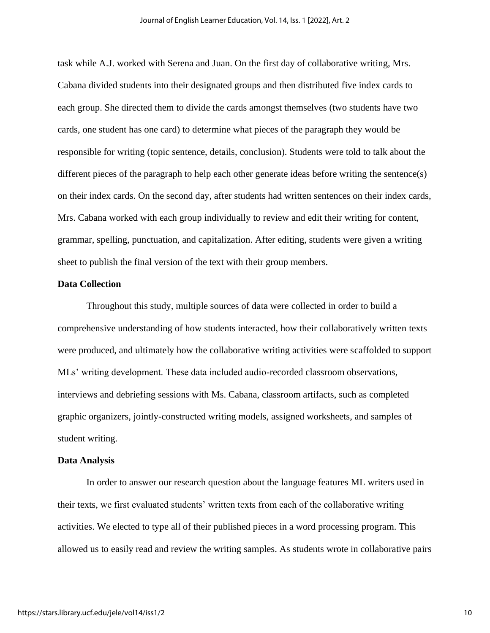task while A.J. worked with Serena and Juan. On the first day of collaborative writing, Mrs. Cabana divided students into their designated groups and then distributed five index cards to each group. She directed them to divide the cards amongst themselves (two students have two cards, one student has one card) to determine what pieces of the paragraph they would be responsible for writing (topic sentence, details, conclusion). Students were told to talk about the different pieces of the paragraph to help each other generate ideas before writing the sentence(s) on their index cards. On the second day, after students had written sentences on their index cards, Mrs. Cabana worked with each group individually to review and edit their writing for content, grammar, spelling, punctuation, and capitalization. After editing, students were given a writing sheet to publish the final version of the text with their group members.

#### **Data Collection**

Throughout this study, multiple sources of data were collected in order to build a comprehensive understanding of how students interacted, how their collaboratively written texts were produced, and ultimately how the collaborative writing activities were scaffolded to support MLs' writing development. These data included audio-recorded classroom observations, interviews and debriefing sessions with Ms. Cabana, classroom artifacts, such as completed graphic organizers, jointly-constructed writing models, assigned worksheets, and samples of student writing.

#### **Data Analysis**

In order to answer our research question about the language features ML writers used in their texts, we first evaluated students' written texts from each of the collaborative writing activities. We elected to type all of their published pieces in a word processing program. This allowed us to easily read and review the writing samples. As students wrote in collaborative pairs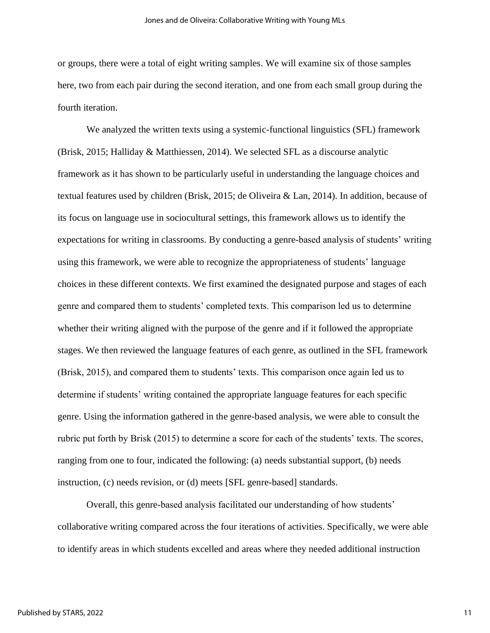or groups, there were a total of eight writing samples. We will examine six of those samples here, two from each pair during the second iteration, and one from each small group during the fourth iteration.

We analyzed the written texts using a systemic-functional linguistics (SFL) framework (Brisk, 2015; Halliday & Matthiessen, 2014). We selected SFL as a discourse analytic framework as it has shown to be particularly useful in understanding the language choices and textual features used by children (Brisk, 2015; de Oliveira & Lan, 2014). In addition, because of its focus on language use in sociocultural settings, this framework allows us to identify the expectations for writing in classrooms. By conducting a genre-based analysis of students' writing using this framework, we were able to recognize the appropriateness of students' language choices in these different contexts. We first examined the designated purpose and stages of each genre and compared them to students' completed texts. This comparison led us to determine whether their writing aligned with the purpose of the genre and if it followed the appropriate stages. We then reviewed the language features of each genre, as outlined in the SFL framework (Brisk, 2015), and compared them to students' texts. This comparison once again led us to determine if students' writing contained the appropriate language features for each specific genre. Using the information gathered in the genre-based analysis, we were able to consult the rubric put forth by Brisk (2015) to determine a score for each of the students' texts. The scores, ranging from one to four, indicated the following: (a) needs substantial support, (b) needs instruction, (c) needs revision, or (d) meets [SFL genre-based] standards.

Overall, this genre-based analysis facilitated our understanding of how students' collaborative writing compared across the four iterations of activities. Specifically, we were able to identify areas in which students excelled and areas where they needed additional instruction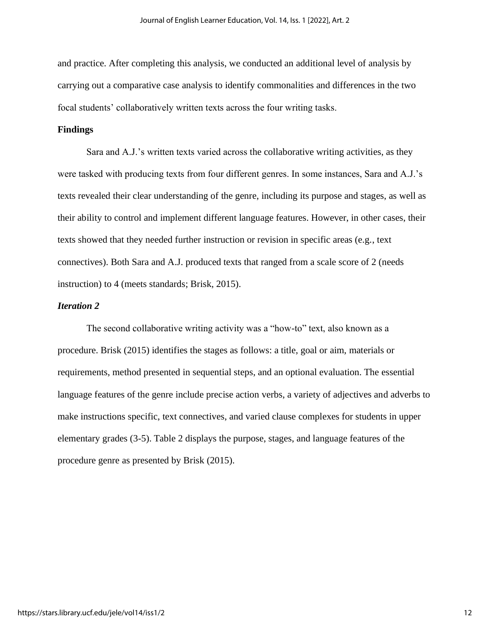and practice. After completing this analysis, we conducted an additional level of analysis by carrying out a comparative case analysis to identify commonalities and differences in the two focal students' collaboratively written texts across the four writing tasks.

#### **Findings**

Sara and A.J.'s written texts varied across the collaborative writing activities, as they were tasked with producing texts from four different genres. In some instances, Sara and A.J.'s texts revealed their clear understanding of the genre, including its purpose and stages, as well as their ability to control and implement different language features. However, in other cases, their texts showed that they needed further instruction or revision in specific areas (e.g., text connectives). Both Sara and A.J. produced texts that ranged from a scale score of 2 (needs instruction) to 4 (meets standards; Brisk, 2015).

#### *Iteration 2*

The second collaborative writing activity was a "how-to" text, also known as a procedure. Brisk (2015) identifies the stages as follows: a title, goal or aim, materials or requirements, method presented in sequential steps, and an optional evaluation. The essential language features of the genre include precise action verbs, a variety of adjectives and adverbs to make instructions specific, text connectives, and varied clause complexes for students in upper elementary grades (3-5). Table 2 displays the purpose, stages, and language features of the procedure genre as presented by Brisk (2015).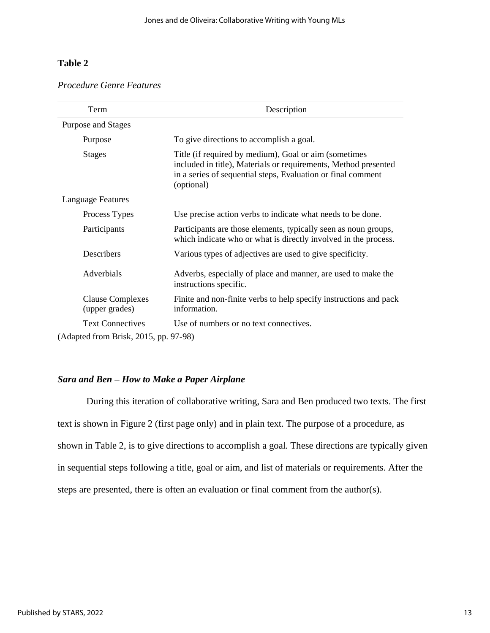# **Table 2**

#### *Procedure Genre Features*

| Term                                      | Description                                                                                                                                                                                            |  |  |  |
|-------------------------------------------|--------------------------------------------------------------------------------------------------------------------------------------------------------------------------------------------------------|--|--|--|
| Purpose and Stages                        |                                                                                                                                                                                                        |  |  |  |
| Purpose                                   | To give directions to accomplish a goal.                                                                                                                                                               |  |  |  |
| <b>Stages</b>                             | Title (if required by medium), Goal or aim (sometimes<br>included in title), Materials or requirements, Method presented<br>in a series of sequential steps, Evaluation or final comment<br>(optional) |  |  |  |
| Language Features                         |                                                                                                                                                                                                        |  |  |  |
| Process Types                             | Use precise action verbs to indicate what needs to be done.                                                                                                                                            |  |  |  |
| Participants                              | Participants are those elements, typically seen as noun groups,<br>which indicate who or what is directly involved in the process.                                                                     |  |  |  |
| Describers                                | Various types of adjectives are used to give specificity.                                                                                                                                              |  |  |  |
| Adverbials                                | Adverbs, especially of place and manner, are used to make the<br>instructions specific.                                                                                                                |  |  |  |
| <b>Clause Complexes</b><br>(upper grades) | Finite and non-finite verbs to help specify instructions and pack<br>information.                                                                                                                      |  |  |  |
| <b>Text Connectives</b>                   | Use of numbers or no text connectives.                                                                                                                                                                 |  |  |  |
| (Adapted from Brisk, 2015, pp. 97-98)     |                                                                                                                                                                                                        |  |  |  |

# *Sara and Ben – How to Make a Paper Airplane*

During this iteration of collaborative writing, Sara and Ben produced two texts. The first text is shown in Figure 2 (first page only) and in plain text. The purpose of a procedure, as shown in Table 2, is to give directions to accomplish a goal. These directions are typically given in sequential steps following a title, goal or aim, and list of materials or requirements. After the steps are presented, there is often an evaluation or final comment from the author(s).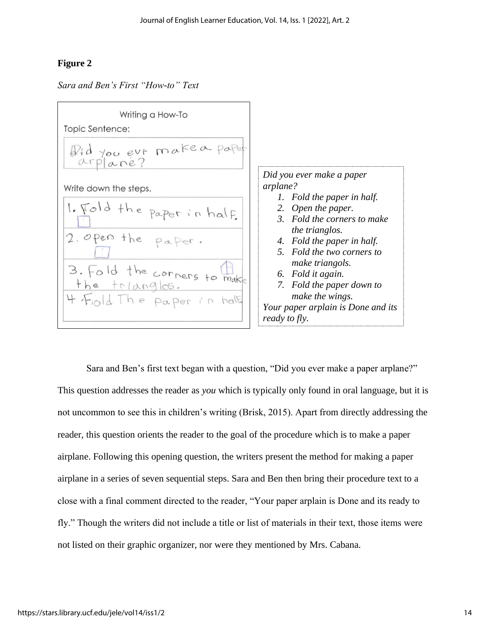# **Figure 2**

*Sara and Ben's First "How-to" Text*



Sara and Ben's first text began with a question, "Did you ever make a paper arplane?" This question addresses the reader as *you* which is typically only found in oral language, but it is not uncommon to see this in children's writing (Brisk, 2015). Apart from directly addressing the reader, this question orients the reader to the goal of the procedure which is to make a paper airplane. Following this opening question, the writers present the method for making a paper airplane in a series of seven sequential steps. Sara and Ben then bring their procedure text to a close with a final comment directed to the reader, "Your paper arplain is Done and its ready to fly." Though the writers did not include a title or list of materials in their text, those items were not listed on their graphic organizer, nor were they mentioned by Mrs. Cabana.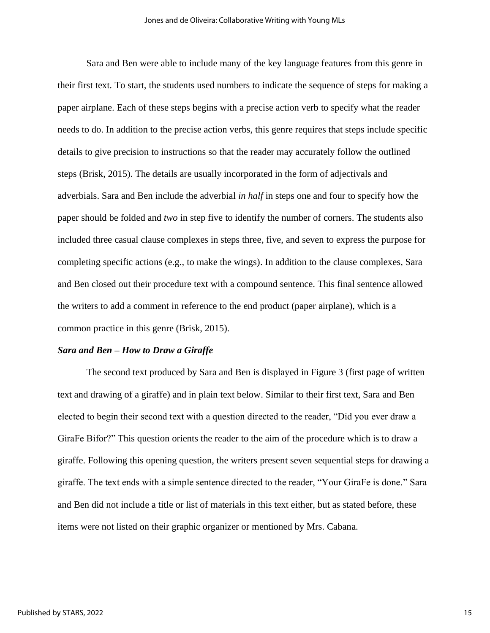Sara and Ben were able to include many of the key language features from this genre in their first text. To start, the students used numbers to indicate the sequence of steps for making a paper airplane. Each of these steps begins with a precise action verb to specify what the reader needs to do. In addition to the precise action verbs, this genre requires that steps include specific details to give precision to instructions so that the reader may accurately follow the outlined steps (Brisk, 2015). The details are usually incorporated in the form of adjectivals and adverbials. Sara and Ben include the adverbial *in half* in steps one and four to specify how the paper should be folded and *two* in step five to identify the number of corners. The students also included three casual clause complexes in steps three, five, and seven to express the purpose for completing specific actions (e.g., to make the wings). In addition to the clause complexes, Sara and Ben closed out their procedure text with a compound sentence. This final sentence allowed the writers to add a comment in reference to the end product (paper airplane), which is a common practice in this genre (Brisk, 2015).

#### *Sara and Ben – How to Draw a Giraffe*

The second text produced by Sara and Ben is displayed in Figure 3 (first page of written text and drawing of a giraffe) and in plain text below. Similar to their first text, Sara and Ben elected to begin their second text with a question directed to the reader, "Did you ever draw a GiraFe Bifor?" This question orients the reader to the aim of the procedure which is to draw a giraffe. Following this opening question, the writers present seven sequential steps for drawing a giraffe. The text ends with a simple sentence directed to the reader, "Your GiraFe is done*.*" Sara and Ben did not include a title or list of materials in this text either, but as stated before, these items were not listed on their graphic organizer or mentioned by Mrs. Cabana.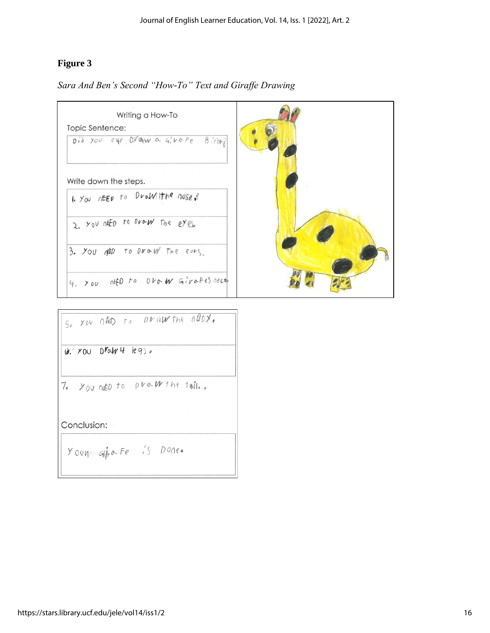# **Figure 3**

*Sara And Ben's Second "How-To" Text and Giraffe Drawing*



Conclusion:

Youmain a Fe is Done.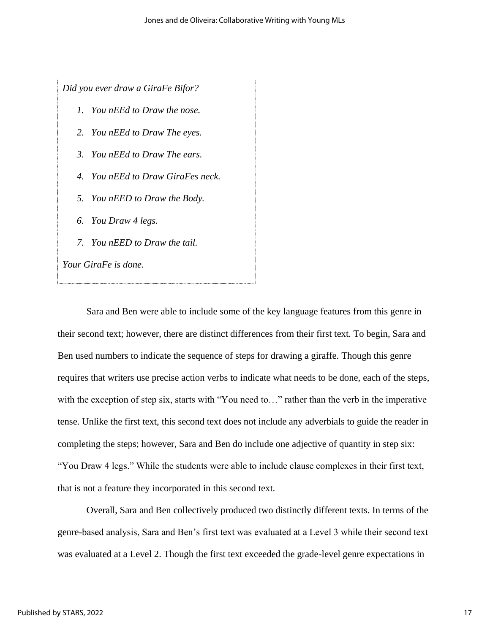*Did you ever draw a GiraFe Bifor?*

- *1. You nEEd to Draw the nose.*
- *2. You nEEd to Draw The eyes.*
- *3. You nEEd to Draw The ears.*
- *4. You nEEd to Draw GiraFes neck.*
- *5. You nEED to Draw the Body.*
- *6. You Draw 4 legs.*
- *7. You nEED to Draw the tail.*

*Your GiraFe is done.*

Sara and Ben were able to include some of the key language features from this genre in their second text; however, there are distinct differences from their first text. To begin, Sara and Ben used numbers to indicate the sequence of steps for drawing a giraffe. Though this genre requires that writers use precise action verbs to indicate what needs to be done, each of the steps, with the exception of step six, starts with "You need to..." rather than the verb in the imperative tense. Unlike the first text, this second text does not include any adverbials to guide the reader in completing the steps; however, Sara and Ben do include one adjective of quantity in step six: "You Draw 4 legs." While the students were able to include clause complexes in their first text, that is not a feature they incorporated in this second text.

Overall, Sara and Ben collectively produced two distinctly different texts. In terms of the genre-based analysis, Sara and Ben's first text was evaluated at a Level 3 while their second text was evaluated at a Level 2. Though the first text exceeded the grade-level genre expectations in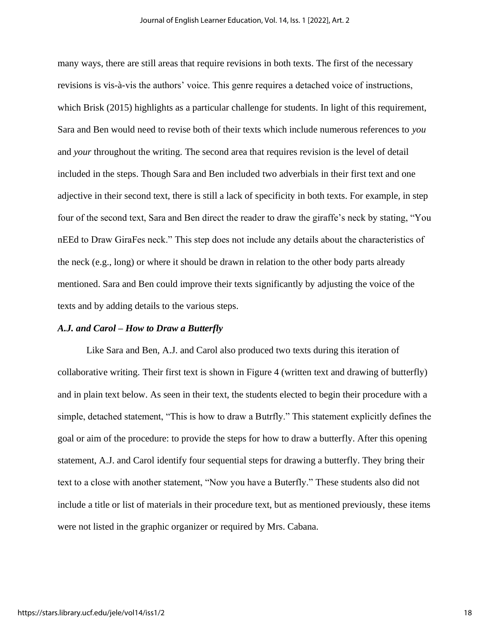many ways, there are still areas that require revisions in both texts. The first of the necessary revisions is vis-à-vis the authors' voice. This genre requires a detached voice of instructions, which Brisk (2015) highlights as a particular challenge for students. In light of this requirement, Sara and Ben would need to revise both of their texts which include numerous references to *you* and *your* throughout the writing. The second area that requires revision is the level of detail included in the steps. Though Sara and Ben included two adverbials in their first text and one adjective in their second text, there is still a lack of specificity in both texts. For example, in step four of the second text, Sara and Ben direct the reader to draw the giraffe's neck by stating, "You nEEd to Draw GiraFes neck." This step does not include any details about the characteristics of the neck (e.g., long) or where it should be drawn in relation to the other body parts already mentioned. Sara and Ben could improve their texts significantly by adjusting the voice of the texts and by adding details to the various steps.

#### *A.J. and Carol – How to Draw a Butterfly*

Like Sara and Ben, A.J. and Carol also produced two texts during this iteration of collaborative writing. Their first text is shown in Figure 4 (written text and drawing of butterfly) and in plain text below. As seen in their text, the students elected to begin their procedure with a simple, detached statement, "This is how to draw a Butrfly." This statement explicitly defines the goal or aim of the procedure: to provide the steps for how to draw a butterfly. After this opening statement, A.J. and Carol identify four sequential steps for drawing a butterfly. They bring their text to a close with another statement, "Now you have a Buterfly." These students also did not include a title or list of materials in their procedure text, but as mentioned previously, these items were not listed in the graphic organizer or required by Mrs. Cabana.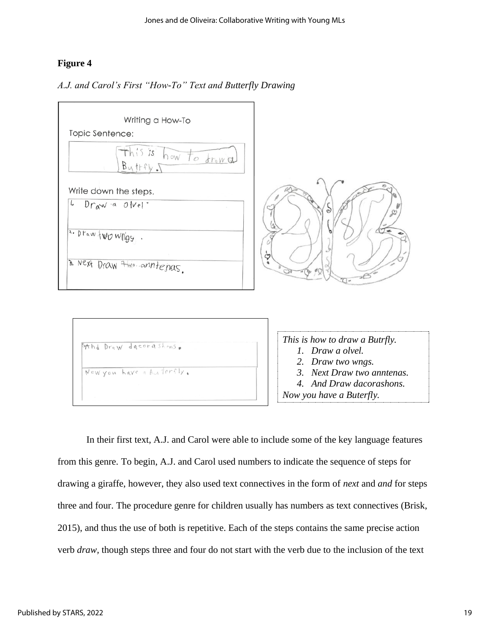# **Figure 4**

#### *A.J. and Carol's First "How-To" Text and Butterfly Drawing*



In their first text, A.J. and Carol were able to include some of the key language features from this genre. To begin, A.J. and Carol used numbers to indicate the sequence of steps for drawing a giraffe, however, they also used text connectives in the form of *next* and *and* for steps three and four. The procedure genre for children usually has numbers as text connectives (Brisk, 2015), and thus the use of both is repetitive. Each of the steps contains the same precise action verb *draw,* though steps three and four do not start with the verb due to the inclusion of the text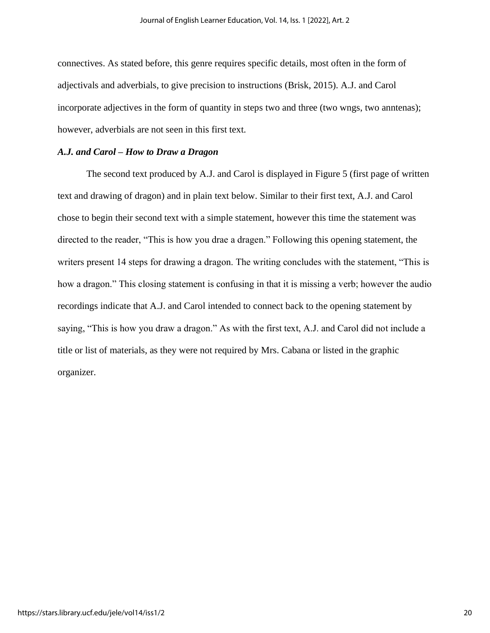connectives. As stated before, this genre requires specific details, most often in the form of adjectivals and adverbials, to give precision to instructions (Brisk, 2015). A.J. and Carol incorporate adjectives in the form of quantity in steps two and three (two wngs, two anntenas); however, adverbials are not seen in this first text.

#### *A.J. and Carol – How to Draw a Dragon*

The second text produced by A.J. and Carol is displayed in Figure 5 (first page of written text and drawing of dragon) and in plain text below. Similar to their first text, A.J. and Carol chose to begin their second text with a simple statement, however this time the statement was directed to the reader, "This is how you drae a dragen." Following this opening statement, the writers present 14 steps for drawing a dragon. The writing concludes with the statement, "This is how a dragon." This closing statement is confusing in that it is missing a verb; however the audio recordings indicate that A.J. and Carol intended to connect back to the opening statement by saying, "This is how you draw a dragon." As with the first text, A.J. and Carol did not include a title or list of materials, as they were not required by Mrs. Cabana or listed in the graphic organizer.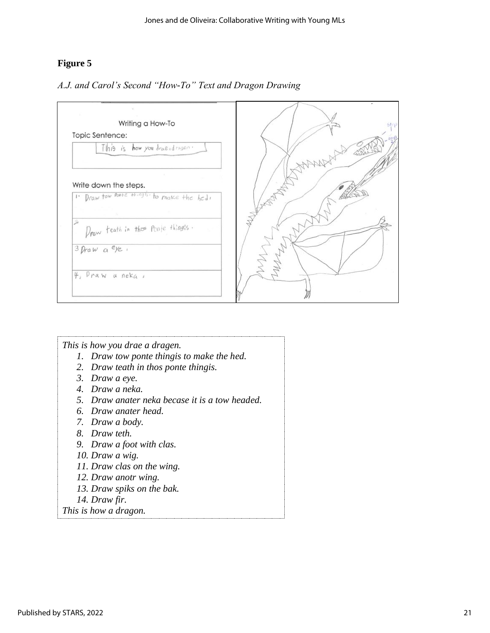# **Figure 5**



# *A.J. and Carol's Second "How-To" Text and Dragon Drawing*

| This is how you drae a dragen.                 |
|------------------------------------------------|
| 1. Draw tow ponte thing is to make the hed.    |
| 2. Draw teath in thos ponte thingis.           |
| 3. Draw a eye.                                 |
| 4. Draw a neka.                                |
| 5. Draw anater neka becase it is a tow headed. |
| 6. Draw anater head.                           |
| 7. Draw a body.                                |
| 8. Draw teth.                                  |
| 9. Draw a foot with clas.                      |
| 10. Draw a wig.                                |
| 11. Draw clas on the wing.                     |
| 12. Draw anotr wing.                           |
| 13. Draw spiks on the bak.                     |
| 14. Draw fir.                                  |
| This is how a diagram                          |

*This is how a dragon.*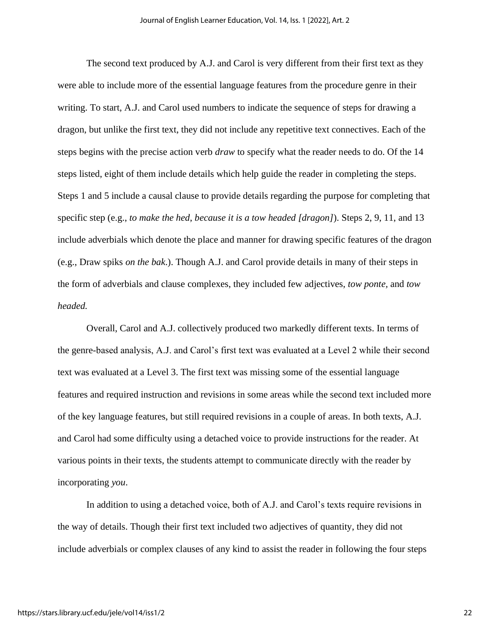The second text produced by A.J. and Carol is very different from their first text as they were able to include more of the essential language features from the procedure genre in their writing. To start, A.J. and Carol used numbers to indicate the sequence of steps for drawing a dragon, but unlike the first text, they did not include any repetitive text connectives. Each of the steps begins with the precise action verb *draw* to specify what the reader needs to do. Of the 14 steps listed, eight of them include details which help guide the reader in completing the steps. Steps 1 and 5 include a causal clause to provide details regarding the purpose for completing that specific step (e.g., *to make the hed*, *because it is a tow headed [dragon]*). Steps 2, 9, 11, and 13 include adverbials which denote the place and manner for drawing specific features of the dragon (e.g., Draw spiks *on the bak*.). Though A.J. and Carol provide details in many of their steps in the form of adverbials and clause complexes, they included few adjectives, *tow ponte,* and *tow headed.*

Overall, Carol and A.J. collectively produced two markedly different texts. In terms of the genre-based analysis, A.J. and Carol's first text was evaluated at a Level 2 while their second text was evaluated at a Level 3. The first text was missing some of the essential language features and required instruction and revisions in some areas while the second text included more of the key language features, but still required revisions in a couple of areas. In both texts, A.J. and Carol had some difficulty using a detached voice to provide instructions for the reader. At various points in their texts, the students attempt to communicate directly with the reader by incorporating *you*.

In addition to using a detached voice, both of A.J. and Carol's texts require revisions in the way of details. Though their first text included two adjectives of quantity, they did not include adverbials or complex clauses of any kind to assist the reader in following the four steps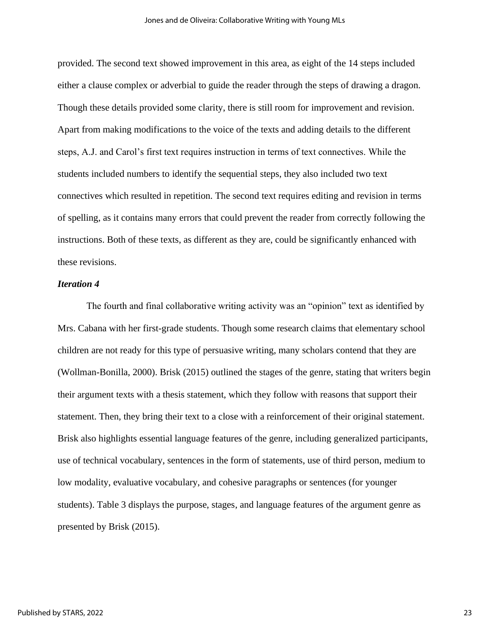provided. The second text showed improvement in this area, as eight of the 14 steps included either a clause complex or adverbial to guide the reader through the steps of drawing a dragon. Though these details provided some clarity, there is still room for improvement and revision. Apart from making modifications to the voice of the texts and adding details to the different steps, A.J. and Carol's first text requires instruction in terms of text connectives. While the students included numbers to identify the sequential steps, they also included two text connectives which resulted in repetition. The second text requires editing and revision in terms of spelling, as it contains many errors that could prevent the reader from correctly following the instructions. Both of these texts, as different as they are, could be significantly enhanced with these revisions.

#### *Iteration 4*

The fourth and final collaborative writing activity was an "opinion" text as identified by Mrs. Cabana with her first-grade students. Though some research claims that elementary school children are not ready for this type of persuasive writing, many scholars contend that they are (Wollman-Bonilla, 2000). Brisk (2015) outlined the stages of the genre, stating that writers begin their argument texts with a thesis statement, which they follow with reasons that support their statement. Then, they bring their text to a close with a reinforcement of their original statement. Brisk also highlights essential language features of the genre, including generalized participants, use of technical vocabulary, sentences in the form of statements, use of third person, medium to low modality, evaluative vocabulary, and cohesive paragraphs or sentences (for younger students). Table 3 displays the purpose, stages, and language features of the argument genre as presented by Brisk (2015).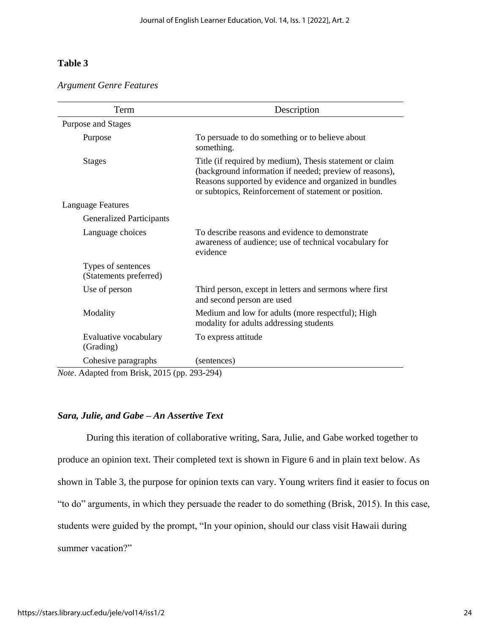## **Table 3**

#### *Argument Genre Features*

| Term                                         | Description                                                                                                                                                                                                                            |  |  |
|----------------------------------------------|----------------------------------------------------------------------------------------------------------------------------------------------------------------------------------------------------------------------------------------|--|--|
| Purpose and Stages                           |                                                                                                                                                                                                                                        |  |  |
| Purpose                                      | To persuade to do something or to believe about<br>something.                                                                                                                                                                          |  |  |
| <b>Stages</b>                                | Title (if required by medium), Thesis statement or claim<br>(background information if needed; preview of reasons),<br>Reasons supported by evidence and organized in bundles<br>or subtopics, Reinforcement of statement or position. |  |  |
| Language Features                            |                                                                                                                                                                                                                                        |  |  |
| <b>Generalized Participants</b>              |                                                                                                                                                                                                                                        |  |  |
| Language choices                             | To describe reasons and evidence to demonstrate<br>awareness of audience; use of technical vocabulary for<br>evidence                                                                                                                  |  |  |
| Types of sentences<br>(Statements preferred) |                                                                                                                                                                                                                                        |  |  |
| Use of person                                | Third person, except in letters and sermons where first<br>and second person are used                                                                                                                                                  |  |  |
| Modality                                     | Medium and low for adults (more respectful); High<br>modality for adults addressing students                                                                                                                                           |  |  |
| Evaluative vocabulary<br>(Grading)           | To express attitude                                                                                                                                                                                                                    |  |  |
| Cohesive paragraphs                          | (sentences)                                                                                                                                                                                                                            |  |  |

*Note*. Adapted from Brisk, 2015 (pp. 293-294)

#### *Sara, Julie, and Gabe – An Assertive Text*

During this iteration of collaborative writing, Sara, Julie, and Gabe worked together to produce an opinion text. Their completed text is shown in Figure 6 and in plain text below. As shown in Table 3, the purpose for opinion texts can vary. Young writers find it easier to focus on "to do" arguments, in which they persuade the reader to do something (Brisk, 2015). In this case, students were guided by the prompt, "In your opinion, should our class visit Hawaii during summer vacation?"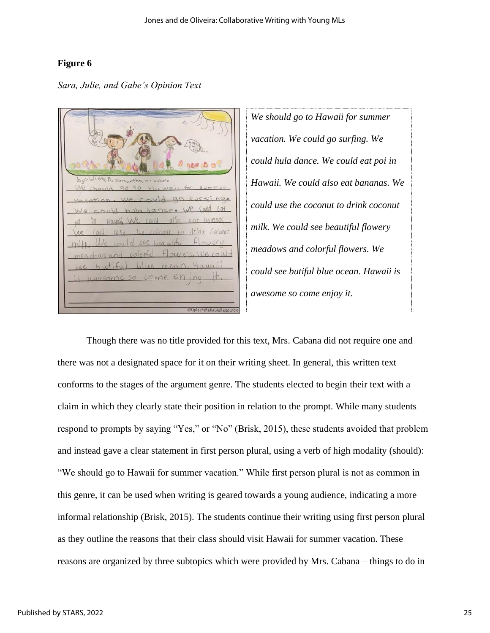# **Figure 6**

*Sara, Julie, and Gabe's Opinion Text*

Julieta D, samantha  $h_{11}$ 

*We should go to Hawaii for summer vacation. We could go surfing. We could hula dance. We could eat poi in Hawaii. We could also eat bananas. We could use the coconut to drink coconut milk. We could see beautiful flowery meadows and colorful flowers. We could see butiful blue ocean. Hawaii is awesome so come enjoy it.* 

Though there was no title provided for this text, Mrs. Cabana did not require one and there was not a designated space for it on their writing sheet. In general, this written text conforms to the stages of the argument genre. The students elected to begin their text with a claim in which they clearly state their position in relation to the prompt. While many students respond to prompts by saying "Yes," or "No" (Brisk, 2015), these students avoided that problem and instead gave a clear statement in first person plural, using a verb of high modality (should): "We should go to Hawaii for summer vacation." While first person plural is not as common in this genre, it can be used when writing is geared towards a young audience, indicating a more informal relationship (Brisk, 2015). The students continue their writing using first person plural as they outline the reasons that their class should visit Hawaii for summer vacation. These reasons are organized by three subtopics which were provided by Mrs. Cabana – things to do in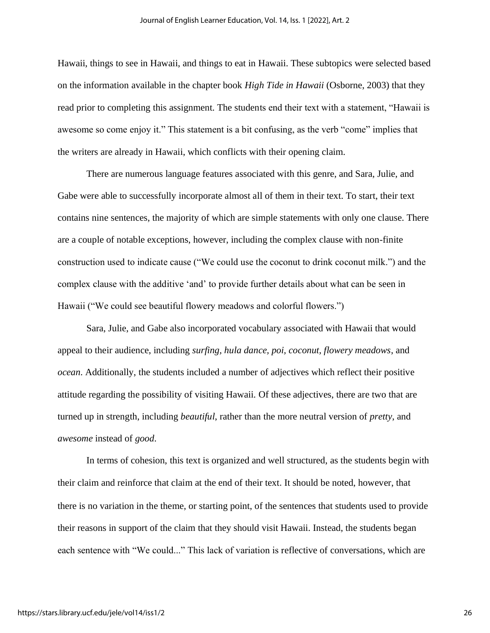Hawaii, things to see in Hawaii, and things to eat in Hawaii. These subtopics were selected based on the information available in the chapter book *High Tide in Hawaii* (Osborne, 2003) that they read prior to completing this assignment. The students end their text with a statement, "Hawaii is awesome so come enjoy it." This statement is a bit confusing, as the verb "come" implies that the writers are already in Hawaii, which conflicts with their opening claim.

There are numerous language features associated with this genre, and Sara, Julie, and Gabe were able to successfully incorporate almost all of them in their text. To start, their text contains nine sentences, the majority of which are simple statements with only one clause. There are a couple of notable exceptions, however, including the complex clause with non-finite construction used to indicate cause ("We could use the coconut to drink coconut milk.") and the complex clause with the additive 'and' to provide further details about what can be seen in Hawaii ("We could see beautiful flowery meadows and colorful flowers.")

Sara, Julie, and Gabe also incorporated vocabulary associated with Hawaii that would appeal to their audience, including *surfing, hula dance, poi, coconut, flowery meadows*, and *ocean*. Additionally, the students included a number of adjectives which reflect their positive attitude regarding the possibility of visiting Hawaii. Of these adjectives, there are two that are turned up in strength, including *beautiful*, rather than the more neutral version of *pretty*, and *awesome* instead of *good*.

In terms of cohesion, this text is organized and well structured, as the students begin with their claim and reinforce that claim at the end of their text. It should be noted, however, that there is no variation in the theme, or starting point, of the sentences that students used to provide their reasons in support of the claim that they should visit Hawaii. Instead, the students began each sentence with "We could..." This lack of variation is reflective of conversations, which are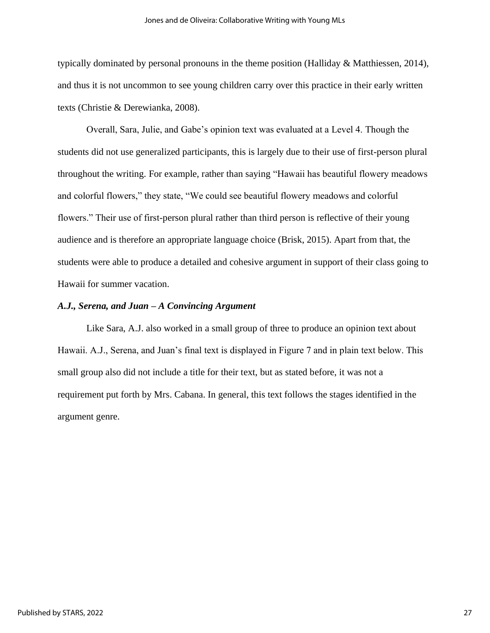typically dominated by personal pronouns in the theme position (Halliday & Matthiessen, 2014), and thus it is not uncommon to see young children carry over this practice in their early written texts (Christie & Derewianka, 2008).

Overall, Sara, Julie, and Gabe's opinion text was evaluated at a Level 4. Though the students did not use generalized participants, this is largely due to their use of first-person plural throughout the writing. For example, rather than saying "Hawaii has beautiful flowery meadows and colorful flowers," they state, "We could see beautiful flowery meadows and colorful flowers." Their use of first-person plural rather than third person is reflective of their young audience and is therefore an appropriate language choice (Brisk, 2015). Apart from that, the students were able to produce a detailed and cohesive argument in support of their class going to Hawaii for summer vacation.

#### *A.J., Serena, and Juan – A Convincing Argument*

Like Sara, A.J. also worked in a small group of three to produce an opinion text about Hawaii. A.J., Serena, and Juan's final text is displayed in Figure 7 and in plain text below. This small group also did not include a title for their text, but as stated before, it was not a requirement put forth by Mrs. Cabana. In general, this text follows the stages identified in the argument genre.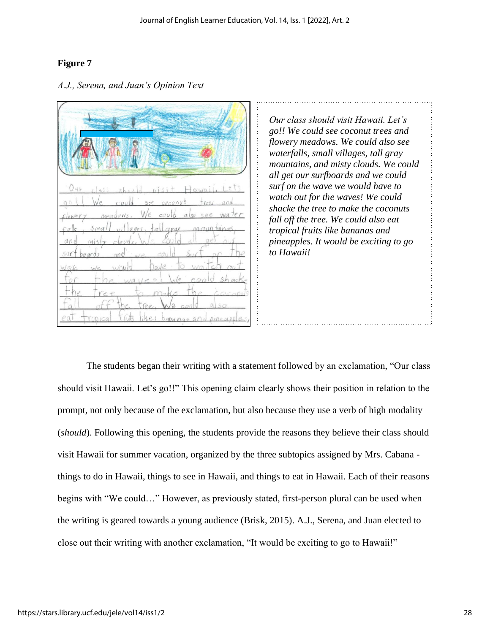# **Figure 7**

| AHA T                                                                                  |
|----------------------------------------------------------------------------------------|
| Our class should <i>visit</i> Hawaii, Let's                                            |
| go we could see coconut trees and<br>flowery meadows. We could also see water          |
| fals, small villages, fall gray nountines,                                             |
| and misty clouds. We could all get our<br>surf boards and we could surt or the         |
| Wave we would have to<br>waiter<br>for the way cell we coold shock                     |
| the tree to make the coconits                                                          |
| $1$ of $f'$ the tree, $\mathbf{v}$<br>eat tropical truts like: bananas and eineapples, |

# *A.J., Serena, and Juan's Opinion Text*

*Our class should visit Hawaii. Let's go!! We could see coconut trees and flowery meadows. We could also see waterfalls, small villages, tall gray mountains, and misty clouds. We could all get our surfboards and we could surf on the wave we would have to watch out for the waves! We could shacke the tree to make the coconuts fall off the tree. We could also eat tropical fruits like bananas and pineapples. It would be exciting to go to Hawaii!* 

The students began their writing with a statement followed by an exclamation, "Our class should visit Hawaii. Let's go!!" This opening claim clearly shows their position in relation to the prompt, not only because of the exclamation, but also because they use a verb of high modality (*should*). Following this opening, the students provide the reasons they believe their class should visit Hawaii for summer vacation, organized by the three subtopics assigned by Mrs. Cabana things to do in Hawaii, things to see in Hawaii, and things to eat in Hawaii. Each of their reasons begins with "We could…" However, as previously stated, first-person plural can be used when the writing is geared towards a young audience (Brisk, 2015). A.J., Serena, and Juan elected to close out their writing with another exclamation, "It would be exciting to go to Hawaii!"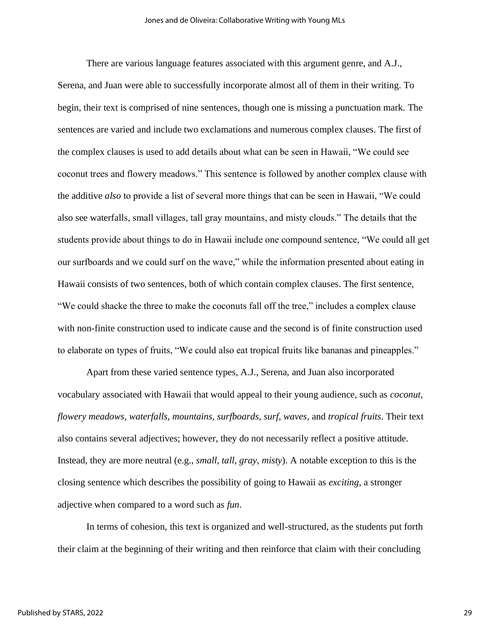There are various language features associated with this argument genre, and A.J., Serena, and Juan were able to successfully incorporate almost all of them in their writing. To begin, their text is comprised of nine sentences, though one is missing a punctuation mark. The sentences are varied and include two exclamations and numerous complex clauses. The first of the complex clauses is used to add details about what can be seen in Hawaii, "We could see coconut trees and flowery meadows." This sentence is followed by another complex clause with the additive *also* to provide a list of several more things that can be seen in Hawaii, "We could also see waterfalls, small villages, tall gray mountains, and misty clouds." The details that the students provide about things to do in Hawaii include one compound sentence, "We could all get our surfboards and we could surf on the wave," while the information presented about eating in Hawaii consists of two sentences, both of which contain complex clauses. The first sentence, "We could shacke the three to make the coconuts fall off the tree," includes a complex clause with non-finite construction used to indicate cause and the second is of finite construction used to elaborate on types of fruits, "We could also eat tropical fruits like bananas and pineapples."

Apart from these varied sentence types, A.J., Serena, and Juan also incorporated vocabulary associated with Hawaii that would appeal to their young audience, such as *coconut, flowery meadows, waterfalls, mountains, surfboards, surf, waves*, and *tropical fruits*. Their text also contains several adjectives; however, they do not necessarily reflect a positive attitude. Instead, they are more neutral (e.g., *small, tall, gray, misty*). A notable exception to this is the closing sentence which describes the possibility of going to Hawaii as *exciting*, a stronger adjective when compared to a word such as *fun*.

In terms of cohesion, this text is organized and well-structured, as the students put forth their claim at the beginning of their writing and then reinforce that claim with their concluding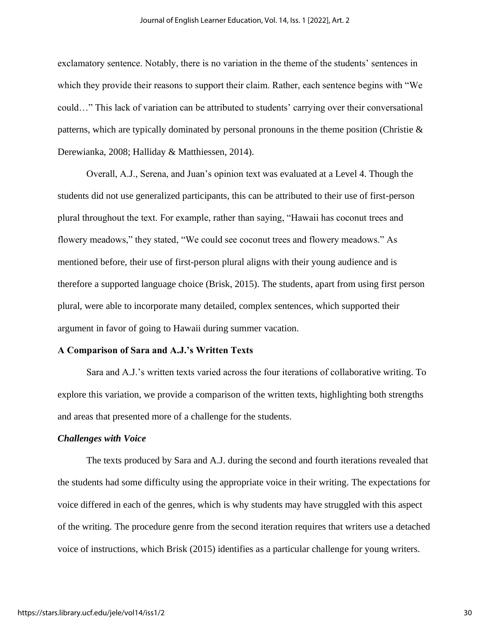exclamatory sentence. Notably, there is no variation in the theme of the students' sentences in which they provide their reasons to support their claim. Rather, each sentence begins with "We could…" This lack of variation can be attributed to students' carrying over their conversational patterns, which are typically dominated by personal pronouns in the theme position (Christie  $\&$ Derewianka, 2008; Halliday & Matthiessen, 2014).

Overall, A.J., Serena, and Juan's opinion text was evaluated at a Level 4. Though the students did not use generalized participants, this can be attributed to their use of first-person plural throughout the text. For example, rather than saying, "Hawaii has coconut trees and flowery meadows," they stated, "We could see coconut trees and flowery meadows." As mentioned before, their use of first-person plural aligns with their young audience and is therefore a supported language choice (Brisk, 2015). The students, apart from using first person plural, were able to incorporate many detailed, complex sentences, which supported their argument in favor of going to Hawaii during summer vacation.

#### **A Comparison of Sara and A.J.'s Written Texts**

Sara and A.J.'s written texts varied across the four iterations of collaborative writing. To explore this variation, we provide a comparison of the written texts, highlighting both strengths and areas that presented more of a challenge for the students.

#### *Challenges with Voice*

The texts produced by Sara and A.J. during the second and fourth iterations revealed that the students had some difficulty using the appropriate voice in their writing. The expectations for voice differed in each of the genres, which is why students may have struggled with this aspect of the writing. The procedure genre from the second iteration requires that writers use a detached voice of instructions, which Brisk (2015) identifies as a particular challenge for young writers.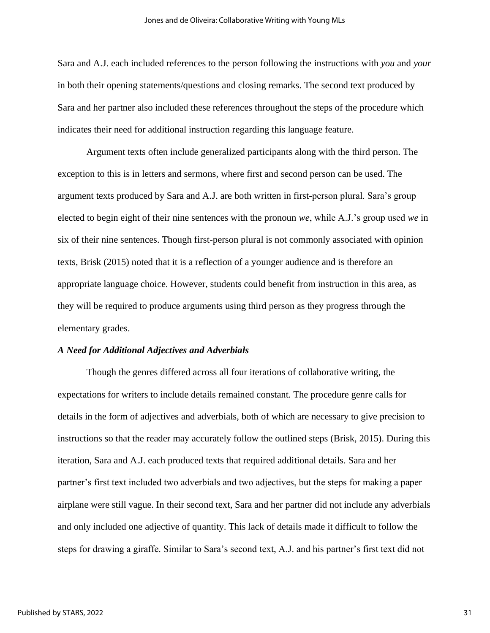Sara and A.J. each included references to the person following the instructions with *you* and *your* in both their opening statements/questions and closing remarks. The second text produced by Sara and her partner also included these references throughout the steps of the procedure which indicates their need for additional instruction regarding this language feature.

Argument texts often include generalized participants along with the third person. The exception to this is in letters and sermons, where first and second person can be used. The argument texts produced by Sara and A.J. are both written in first-person plural. Sara's group elected to begin eight of their nine sentences with the pronoun *we*, while A.J.'s group used *we* in six of their nine sentences. Though first-person plural is not commonly associated with opinion texts, Brisk (2015) noted that it is a reflection of a younger audience and is therefore an appropriate language choice. However, students could benefit from instruction in this area, as they will be required to produce arguments using third person as they progress through the elementary grades.

#### *A Need for Additional Adjectives and Adverbials*

Though the genres differed across all four iterations of collaborative writing, the expectations for writers to include details remained constant. The procedure genre calls for details in the form of adjectives and adverbials, both of which are necessary to give precision to instructions so that the reader may accurately follow the outlined steps (Brisk, 2015). During this iteration, Sara and A.J. each produced texts that required additional details. Sara and her partner's first text included two adverbials and two adjectives, but the steps for making a paper airplane were still vague. In their second text, Sara and her partner did not include any adverbials and only included one adjective of quantity. This lack of details made it difficult to follow the steps for drawing a giraffe. Similar to Sara's second text, A.J. and his partner's first text did not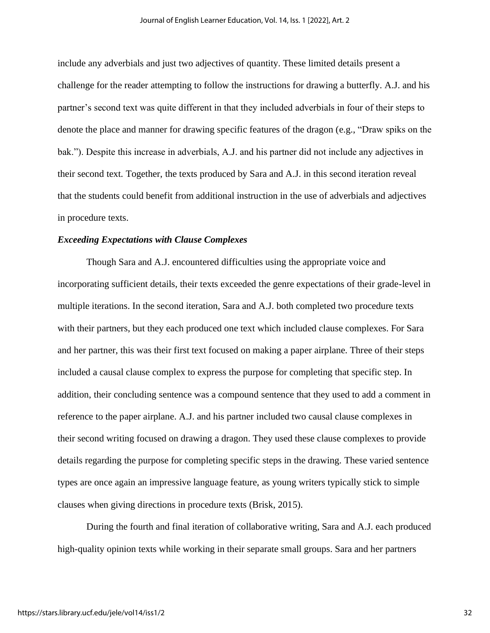include any adverbials and just two adjectives of quantity. These limited details present a challenge for the reader attempting to follow the instructions for drawing a butterfly. A.J. and his partner's second text was quite different in that they included adverbials in four of their steps to denote the place and manner for drawing specific features of the dragon (e.g., "Draw spiks on the bak."). Despite this increase in adverbials, A.J. and his partner did not include any adjectives in their second text. Together, the texts produced by Sara and A.J. in this second iteration reveal that the students could benefit from additional instruction in the use of adverbials and adjectives in procedure texts.

#### *Exceeding Expectations with Clause Complexes*

Though Sara and A.J. encountered difficulties using the appropriate voice and incorporating sufficient details, their texts exceeded the genre expectations of their grade-level in multiple iterations. In the second iteration, Sara and A.J. both completed two procedure texts with their partners, but they each produced one text which included clause complexes. For Sara and her partner, this was their first text focused on making a paper airplane. Three of their steps included a causal clause complex to express the purpose for completing that specific step. In addition, their concluding sentence was a compound sentence that they used to add a comment in reference to the paper airplane. A.J. and his partner included two causal clause complexes in their second writing focused on drawing a dragon. They used these clause complexes to provide details regarding the purpose for completing specific steps in the drawing. These varied sentence types are once again an impressive language feature, as young writers typically stick to simple clauses when giving directions in procedure texts (Brisk, 2015).

During the fourth and final iteration of collaborative writing, Sara and A.J. each produced high-quality opinion texts while working in their separate small groups. Sara and her partners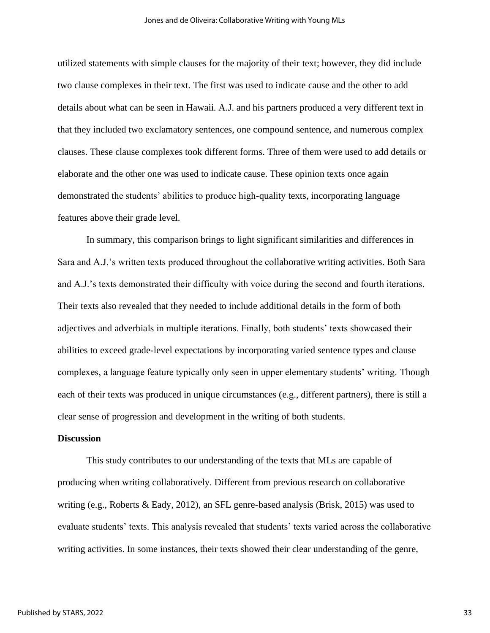utilized statements with simple clauses for the majority of their text; however, they did include two clause complexes in their text. The first was used to indicate cause and the other to add details about what can be seen in Hawaii. A.J. and his partners produced a very different text in that they included two exclamatory sentences, one compound sentence, and numerous complex clauses. These clause complexes took different forms. Three of them were used to add details or elaborate and the other one was used to indicate cause. These opinion texts once again demonstrated the students' abilities to produce high-quality texts, incorporating language features above their grade level.

In summary, this comparison brings to light significant similarities and differences in Sara and A.J.'s written texts produced throughout the collaborative writing activities. Both Sara and A.J.'s texts demonstrated their difficulty with voice during the second and fourth iterations. Their texts also revealed that they needed to include additional details in the form of both adjectives and adverbials in multiple iterations. Finally, both students' texts showcased their abilities to exceed grade-level expectations by incorporating varied sentence types and clause complexes, a language feature typically only seen in upper elementary students' writing. Though each of their texts was produced in unique circumstances (e.g., different partners), there is still a clear sense of progression and development in the writing of both students.

#### **Discussion**

This study contributes to our understanding of the texts that MLs are capable of producing when writing collaboratively. Different from previous research on collaborative writing (e.g., Roberts & Eady, 2012), an SFL genre-based analysis (Brisk, 2015) was used to evaluate students' texts. This analysis revealed that students' texts varied across the collaborative writing activities. In some instances, their texts showed their clear understanding of the genre,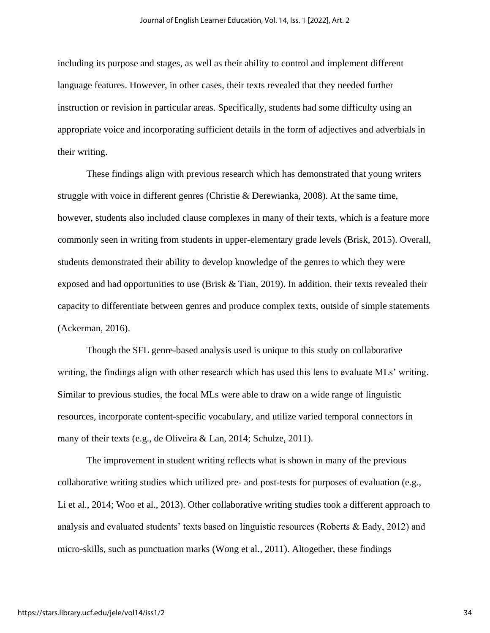including its purpose and stages, as well as their ability to control and implement different language features. However, in other cases, their texts revealed that they needed further instruction or revision in particular areas. Specifically, students had some difficulty using an appropriate voice and incorporating sufficient details in the form of adjectives and adverbials in their writing.

These findings align with previous research which has demonstrated that young writers struggle with voice in different genres (Christie & Derewianka, 2008). At the same time, however, students also included clause complexes in many of their texts, which is a feature more commonly seen in writing from students in upper-elementary grade levels (Brisk, 2015). Overall, students demonstrated their ability to develop knowledge of the genres to which they were exposed and had opportunities to use (Brisk & Tian, 2019). In addition, their texts revealed their capacity to differentiate between genres and produce complex texts, outside of simple statements (Ackerman, 2016).

Though the SFL genre-based analysis used is unique to this study on collaborative writing, the findings align with other research which has used this lens to evaluate MLs' writing. Similar to previous studies, the focal MLs were able to draw on a wide range of linguistic resources, incorporate content-specific vocabulary, and utilize varied temporal connectors in many of their texts (e.g., de Oliveira & Lan, 2014; Schulze, 2011).

The improvement in student writing reflects what is shown in many of the previous collaborative writing studies which utilized pre- and post-tests for purposes of evaluation (e.g., Li et al., 2014; Woo et al., 2013). Other collaborative writing studies took a different approach to analysis and evaluated students' texts based on linguistic resources (Roberts & Eady, 2012) and micro-skills, such as punctuation marks (Wong et al., 2011). Altogether, these findings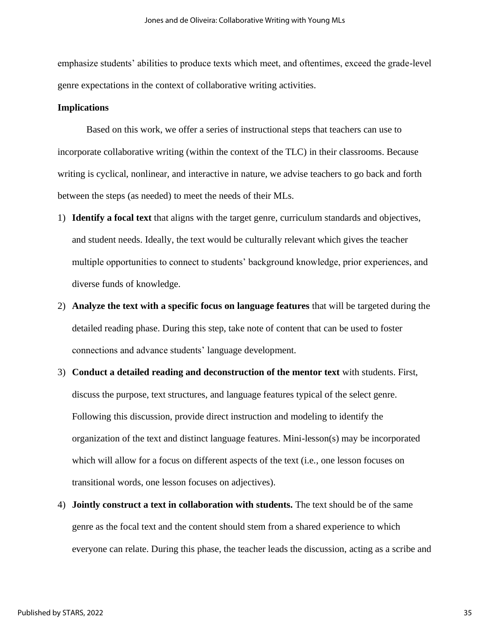emphasize students' abilities to produce texts which meet, and oftentimes, exceed the grade-level genre expectations in the context of collaborative writing activities.

#### **Implications**

Based on this work, we offer a series of instructional steps that teachers can use to incorporate collaborative writing (within the context of the TLC) in their classrooms. Because writing is cyclical, nonlinear, and interactive in nature, we advise teachers to go back and forth between the steps (as needed) to meet the needs of their MLs.

- 1) **Identify a focal text** that aligns with the target genre, curriculum standards and objectives, and student needs. Ideally, the text would be culturally relevant which gives the teacher multiple opportunities to connect to students' background knowledge, prior experiences, and diverse funds of knowledge.
- 2) **Analyze the text with a specific focus on language features** that will be targeted during the detailed reading phase. During this step, take note of content that can be used to foster connections and advance students' language development.
- 3) **Conduct a detailed reading and deconstruction of the mentor text** with students. First, discuss the purpose, text structures, and language features typical of the select genre. Following this discussion, provide direct instruction and modeling to identify the organization of the text and distinct language features. Mini-lesson(s) may be incorporated which will allow for a focus on different aspects of the text (i.e., one lesson focuses on transitional words, one lesson focuses on adjectives).
- 4) **Jointly construct a text in collaboration with students.** The text should be of the same genre as the focal text and the content should stem from a shared experience to which everyone can relate. During this phase, the teacher leads the discussion, acting as a scribe and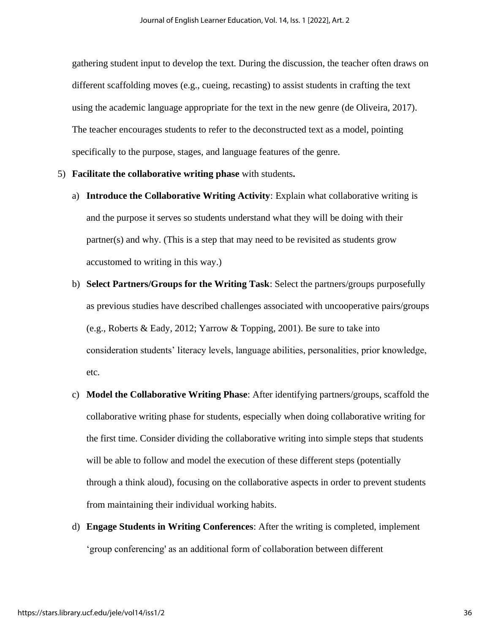gathering student input to develop the text. During the discussion, the teacher often draws on different scaffolding moves (e.g., cueing, recasting) to assist students in crafting the text using the academic language appropriate for the text in the new genre (de Oliveira, 2017). The teacher encourages students to refer to the deconstructed text as a model, pointing specifically to the purpose, stages, and language features of the genre.

- 5) **Facilitate the collaborative writing phase** with students**.**
	- a) **Introduce the Collaborative Writing Activity**: Explain what collaborative writing is and the purpose it serves so students understand what they will be doing with their partner(s) and why. (This is a step that may need to be revisited as students grow accustomed to writing in this way.)
	- b) **Select Partners/Groups for the Writing Task**: Select the partners/groups purposefully as previous studies have described challenges associated with uncooperative pairs/groups (e.g., Roberts & Eady, 2012; Yarrow & Topping, 2001). Be sure to take into consideration students' literacy levels, language abilities, personalities, prior knowledge, etc.
	- c) **Model the Collaborative Writing Phase**: After identifying partners/groups, scaffold the collaborative writing phase for students, especially when doing collaborative writing for the first time. Consider dividing the collaborative writing into simple steps that students will be able to follow and model the execution of these different steps (potentially through a think aloud), focusing on the collaborative aspects in order to prevent students from maintaining their individual working habits.
	- d) **Engage Students in Writing Conferences**: After the writing is completed, implement 'group conferencing' as an additional form of collaboration between different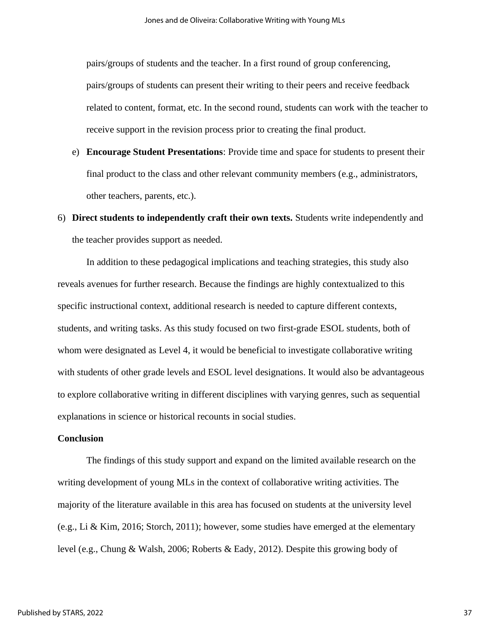pairs/groups of students and the teacher. In a first round of group conferencing, pairs/groups of students can present their writing to their peers and receive feedback related to content, format, etc. In the second round, students can work with the teacher to receive support in the revision process prior to creating the final product.

e) **Encourage Student Presentations**: Provide time and space for students to present their final product to the class and other relevant community members (e.g., administrators, other teachers, parents, etc.).

# 6) **Direct students to independently craft their own texts.** Students write independently and the teacher provides support as needed.

In addition to these pedagogical implications and teaching strategies, this study also reveals avenues for further research. Because the findings are highly contextualized to this specific instructional context, additional research is needed to capture different contexts, students, and writing tasks. As this study focused on two first-grade ESOL students, both of whom were designated as Level 4, it would be beneficial to investigate collaborative writing with students of other grade levels and ESOL level designations. It would also be advantageous to explore collaborative writing in different disciplines with varying genres, such as sequential explanations in science or historical recounts in social studies.

#### **Conclusion**

The findings of this study support and expand on the limited available research on the writing development of young MLs in the context of collaborative writing activities. The majority of the literature available in this area has focused on students at the university level (e.g., Li & Kim, 2016; Storch, 2011); however, some studies have emerged at the elementary level (e.g., Chung & Walsh, 2006; Roberts & Eady, 2012). Despite this growing body of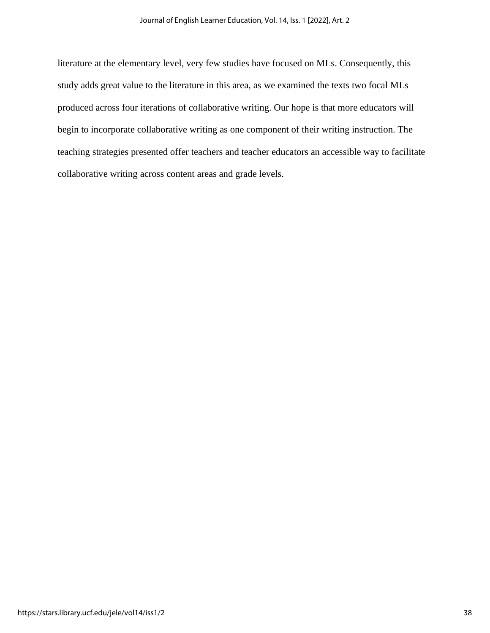literature at the elementary level, very few studies have focused on MLs. Consequently, this study adds great value to the literature in this area, as we examined the texts two focal MLs produced across four iterations of collaborative writing. Our hope is that more educators will begin to incorporate collaborative writing as one component of their writing instruction. The teaching strategies presented offer teachers and teacher educators an accessible way to facilitate collaborative writing across content areas and grade levels.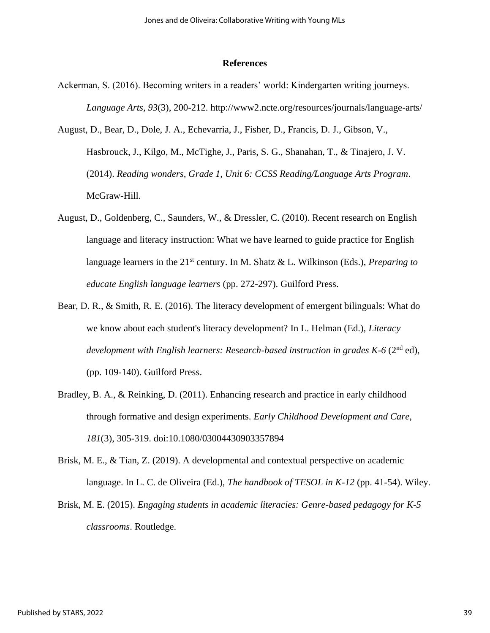#### **References**

- Ackerman, S. (2016). Becoming writers in a readers' world: Kindergarten writing journeys. *Language Arts, 93*(3), 200-212. http://www2.ncte.org/resources/journals/language-arts/
- August, D., Bear, D., Dole, J. A., Echevarria, J., Fisher, D., Francis, D. J., Gibson, V., Hasbrouck, J., Kilgo, M., McTighe, J., Paris, S. G., Shanahan, T., & Tinajero, J. V. (2014). *Reading wonders, Grade 1, Unit 6: CCSS Reading/Language Arts Program*. McGraw-Hill.
- August, D., Goldenberg, C., Saunders, W., & Dressler, C. (2010). Recent research on English language and literacy instruction: What we have learned to guide practice for English language learners in the 21<sup>st</sup> century. In M. Shatz & L. Wilkinson (Eds.), *Preparing to educate English language learners* (pp. 272-297). Guilford Press.
- Bear, D. R., & Smith, R. E. (2016). The literacy development of emergent bilinguals: What do we know about each student's literacy development? In L. Helman (Ed.), *Literacy development with English learners: Research-based instruction in grades K-6* (2nd ed), (pp. 109-140). Guilford Press.
- Bradley, B. A., & Reinking, D. (2011). Enhancing research and practice in early childhood through formative and design experiments. *Early Childhood Development and Care, 181*(3), 305-319. doi:10.1080/03004430903357894
- Brisk, M. E., & Tian, Z. (2019). A developmental and contextual perspective on academic language. In L. C. de Oliveira (Ed.), *The handbook of TESOL in K-12* (pp. 41-54). Wiley.
- Brisk, M. E. (2015). *Engaging students in academic literacies: Genre-based pedagogy for K-5 classrooms*. Routledge.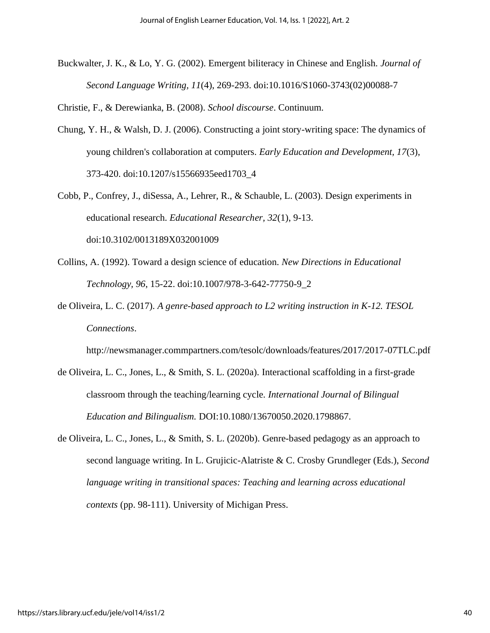Buckwalter, J. K., & Lo, Y. G. (2002). Emergent biliteracy in Chinese and English. *Journal of Second Language Writing, 11*(4), 269-293. doi:10.1016/S1060-3743(02)00088-7

Christie, F., & Derewianka, B. (2008). *School discourse*. Continuum.

- Chung, Y. H., & Walsh, D. J. (2006). Constructing a joint story-writing space: The dynamics of young children's collaboration at computers. *Early Education and Development, 17*(3), 373-420. doi:10.1207/s15566935eed1703\_4
- Cobb, P., Confrey, J., diSessa, A., Lehrer, R., & Schauble, L. (2003). Design experiments in educational research. *Educational Researcher, 32*(1), 9-13. doi:10.3102/0013189X032001009
- Collins, A. (1992). Toward a design science of education. *New Directions in Educational Technology, 96*, 15-22. doi:10.1007/978-3-642-77750-9\_2
- de Oliveira, L. C. (2017). *A genre-based approach to L2 writing instruction in K-12. TESOL Connections*.

http://newsmanager.commpartners.com/tesolc/downloads/features/2017/2017-07TLC.pdf

- de Oliveira, L. C., Jones, L., & Smith, S. L. (2020a). Interactional scaffolding in a first-grade classroom through the teaching/learning cycle. *International Journal of Bilingual Education and Bilingualism.* DOI:10.1080/13670050.2020.1798867.
- de Oliveira, L. C., Jones, L., & Smith, S. L. (2020b). Genre-based pedagogy as an approach to second language writing. In L. Grujicic-Alatriste & C. Crosby Grundleger (Eds.), *Second language writing in transitional spaces: Teaching and learning across educational contexts* (pp. 98-111). University of Michigan Press.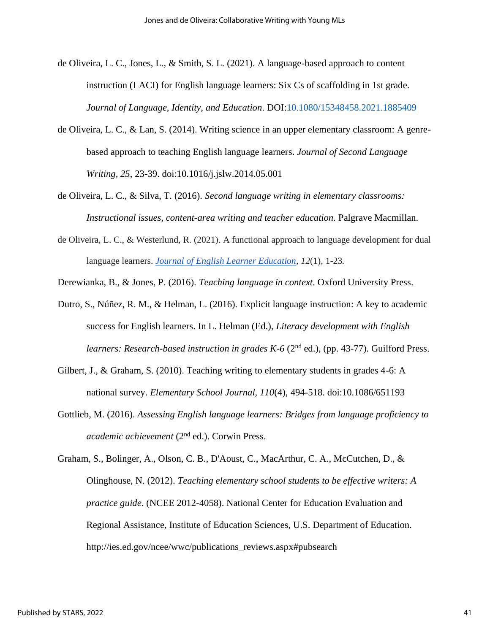- de Oliveira, L. C., Jones, L., & Smith, S. L. (2021). A language-based approach to content instruction (LACI) for English language learners: Six Cs of scaffolding in 1st grade. *Journal of Language, Identity, and Education*. DOI[:10.1080/15348458.2021.1885409](https://doi.org/10.1080/15348458.2021.1885409)
- de Oliveira, L. C., & Lan, S. (2014). Writing science in an upper elementary classroom: A genrebased approach to teaching English language learners. *Journal of Second Language Writing, 25*, 23-39. doi:10.1016/j.jslw.2014.05.001
- de Oliveira, L. C., & Silva, T. (2016). *Second language writing in elementary classrooms: Instructional issues, content-area writing and teacher education.* Palgrave Macmillan.
- de Oliveira, L. C., & Westerlund, R. (2021). A functional approach to language development for dual language learners. *[Journal of English Learner Education,](https://stars.library.ucf.edu/cgi/viewcontent.cgi?article=1039&context=jele) 12*(1), 1-23.

Derewianka, B., & Jones, P. (2016). *Teaching language in context*. Oxford University Press.

- Dutro, S., Núñez, R. M., & Helman, L. (2016). Explicit language instruction: A key to academic success for English learners. In L. Helman (Ed.), *Literacy development with English learners: Research-based instruction in grades K-6* (2<sup>nd</sup> ed.), (pp. 43-77). Guilford Press.
- Gilbert, J., & Graham, S. (2010). Teaching writing to elementary students in grades 4-6: A national survey. *Elementary School Journal, 110*(4), 494-518. doi:10.1086/651193
- Gottlieb, M. (2016). *Assessing English language learners: Bridges from language proficiency to academic achievement* (2nd ed.). Corwin Press.

Graham, S., Bolinger, A., Olson, C. B., D'Aoust, C., MacArthur, C. A., McCutchen, D., & Olinghouse, N. (2012). *Teaching elementary school students to be effective writers: A practice guide*. (NCEE 2012-4058). National Center for Education Evaluation and Regional Assistance, Institute of Education Sciences, U.S. Department of Education. http://ies.ed.gov/ncee/wwc/publications\_reviews.aspx#pubsearch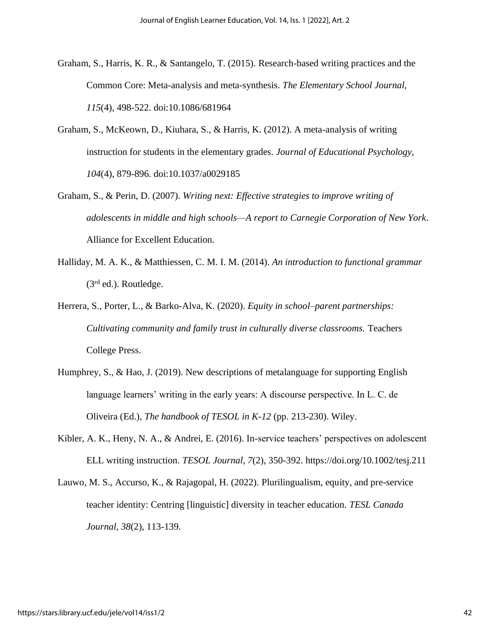- Graham, S., Harris, K. R., & Santangelo, T. (2015). Research-based writing practices and the Common Core: Meta-analysis and meta-synthesis. *The Elementary School Journal, 115*(4), 498-522. doi:10.1086/681964
- Graham, S., McKeown, D., Kiuhara, S., & Harris, K. (2012). A meta-analysis of writing instruction for students in the elementary grades. *Journal of Educational Psychology, 104*(4), 879-896. doi:10.1037/a0029185
- Graham, S., & Perin, D. (2007). *Writing next: Effective strategies to improve writing of adolescents in middle and high schools—A report to Carnegie Corporation of New York*. Alliance for Excellent Education.
- Halliday, M. A. K., & Matthiessen, C. M. I. M. (2014). *An introduction to functional grammar* (3<sup>rd</sup> ed.). Routledge.
- Herrera, S., Porter, L., & Barko-Alva, K. (2020). *Equity in school–parent partnerships: Cultivating community and family trust in culturally diverse classrooms.* Teachers College Press.
- Humphrey, S., & Hao, J. (2019). New descriptions of metalanguage for supporting English language learners' writing in the early years: A discourse perspective. In L. C. de Oliveira (Ed.), *The handbook of TESOL in K-12* (pp. 213-230). Wiley.
- Kibler, A. K., Heny, N. A., & Andrei, E. (2016). In-service teachers' perspectives on adolescent ELL writing instruction. *TESOL Journal, 7*(2), 350-392. https://doi.org/10.1002/tesj.211
- Lauwo, M. S., Accurso, K., & Rajagopal, H. (2022). Plurilingualism, equity, and pre-service teacher identity: Centring [linguistic] diversity in teacher education. *TESL Canada Journal, 38*(2), 113-139.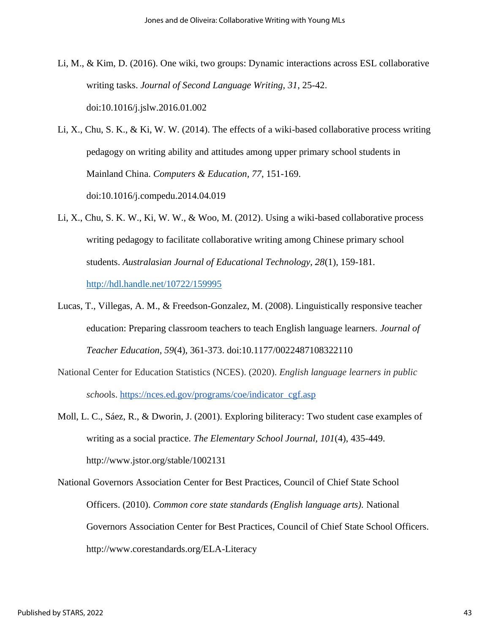- Li, M., & Kim, D. (2016). One wiki, two groups: Dynamic interactions across ESL collaborative writing tasks. *Journal of Second Language Writing, 31*, 25-42. doi:10.1016/j.jslw.2016.01.002
- Li, X., Chu, S. K., & Ki, W. W. (2014). The effects of a wiki-based collaborative process writing pedagogy on writing ability and attitudes among upper primary school students in Mainland China. *Computers & Education, 77*, 151-169. doi:10.1016/j.compedu.2014.04.019
- Li, X., Chu, S. K. W., Ki, W. W., & Woo, M. (2012). Using a wiki-based collaborative process writing pedagogy to facilitate collaborative writing among Chinese primary school students. *Australasian Journal of Educational Technology, 28*(1), 159-181. <http://hdl.handle.net/10722/159995>
- Lucas, T., Villegas, A. M., & Freedson-Gonzalez, M. (2008). Linguistically responsive teacher education: Preparing classroom teachers to teach English language learners. *Journal of Teacher Education, 59*(4), 361-373. doi:10.1177/0022487108322110
- National Center for Education Statistics (NCES). (2020). *English language learners in public schoo*ls. [https://nces.ed.gov/programs/coe/indicator\\_cgf.asp](https://nces.ed.gov/programs/coe/indicator_cgf.asp)
- Moll, L. C., Sáez, R., & Dworin, J. (2001). Exploring biliteracy: Two student case examples of writing as a social practice. *The Elementary School Journal, 101*(4), 435-449. http://www.jstor.org/stable/1002131
- National Governors Association Center for Best Practices, Council of Chief State School Officers. (2010). *Common core state standards (English language arts).* National Governors Association Center for Best Practices, Council of Chief State School Officers. http://www.corestandards.org/ELA-Literacy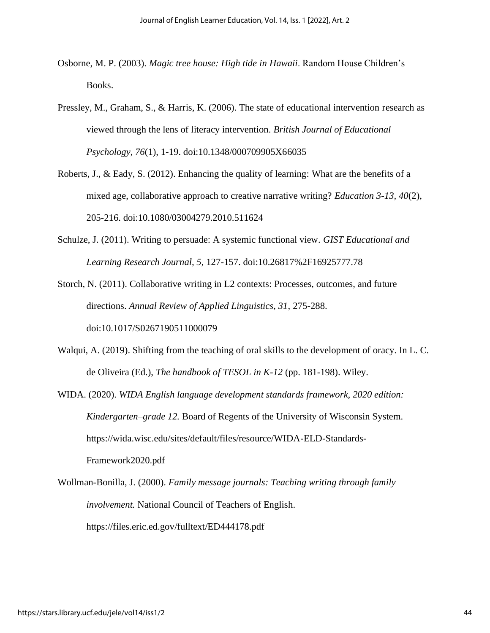- Osborne, M. P. (2003). *Magic tree house: High tide in Hawaii*. Random House Children's Books.
- Pressley, M., Graham, S., & Harris, K. (2006). The state of educational intervention research as viewed through the lens of literacy intervention. *British Journal of Educational Psychology, 76*(1), 1-19. doi:10.1348/000709905X66035
- Roberts, J., & Eady, S. (2012). Enhancing the quality of learning: What are the benefits of a mixed age, collaborative approach to creative narrative writing? *Education 3-13, 40*(2), 205-216. doi:10.1080/03004279.2010.511624
- Schulze, J. (2011). Writing to persuade: A systemic functional view. *GIST Educational and Learning Research Journal, 5*, 127-157. doi:10.26817%2F16925777.78

Storch, N. (2011). Collaborative writing in L2 contexts: Processes, outcomes, and future directions. *Annual Review of Applied Linguistics, 31*, 275-288. doi:10.1017/S0267190511000079

- Walqui, A. (2019). Shifting from the teaching of oral skills to the development of oracy. In L. C. de Oliveira (Ed.), *The handbook of TESOL in K-12* (pp. 181-198). Wiley.
- WIDA. (2020). *WIDA English language development standards framework, 2020 edition: Kindergarten–grade 12.* Board of Regents of the University of Wisconsin System. https://wida.wisc.edu/sites/default/files/resource/WIDA-ELD-Standards-Framework2020.pdf
- Wollman-Bonilla, J. (2000). *Family message journals: Teaching writing through family involvement.* National Council of Teachers of English. https://files.eric.ed.gov/fulltext/ED444178.pdf